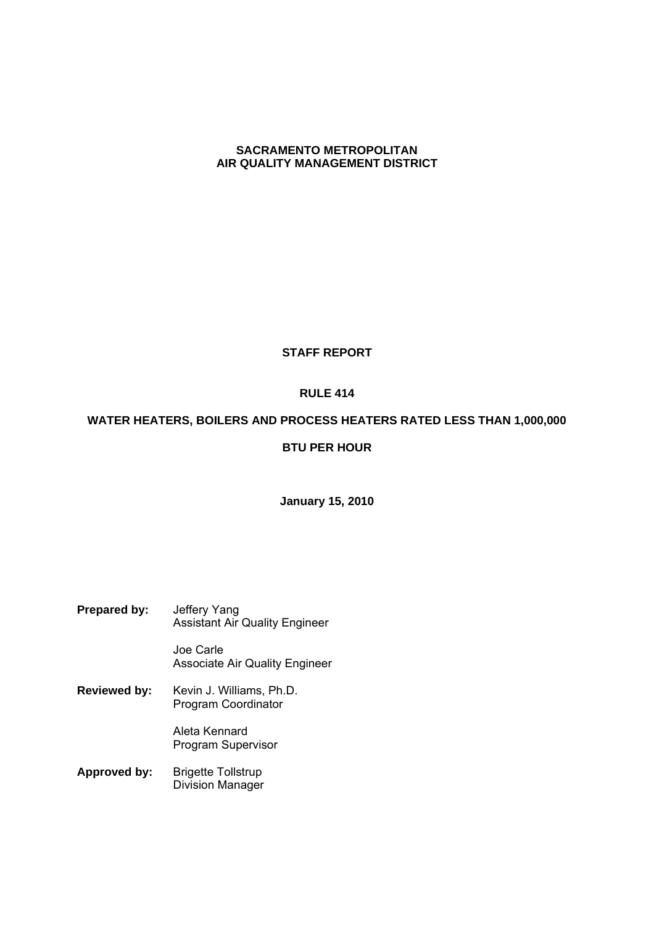# **SACRAMENTO METROPOLITAN AIR QUALITY MANAGEMENT DISTRICT**

# **STAFF REPORT**

# **RULE 414**

# **WATER HEATERS, BOILERS AND PROCESS HEATERS RATED LESS THAN 1,000,000**

# **BTU PER HOUR**

# **January 15, 2010**

**Prepared by:** Jeffery Yang Assistant Air Quality Engineer

Joe Carle Associate Air Quality Engineer

**Reviewed by:** Kevin J. Williams, Ph.D. Program Coordinator

> Aleta Kennard Program Supervisor

**Approved by:** Brigette Tollstrup Division Manager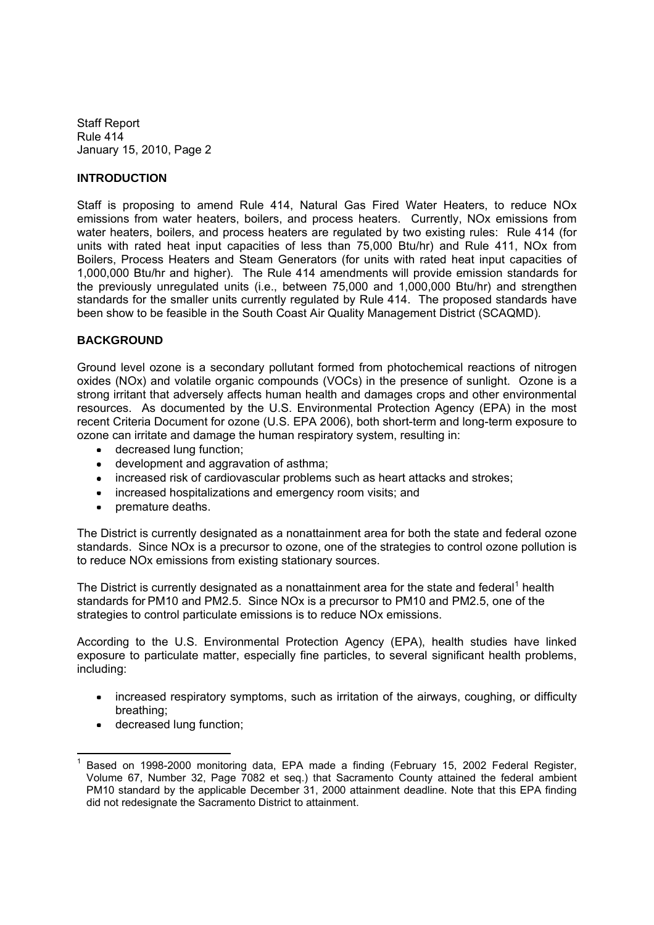### **INTRODUCTION**

Staff is proposing to amend Rule 414, Natural Gas Fired Water Heaters, to reduce NOx emissions from water heaters, boilers, and process heaters. Currently, NOx emissions from water heaters, boilers, and process heaters are regulated by two existing rules: Rule 414 (for units with rated heat input capacities of less than 75,000 Btu/hr) and Rule 411, NOx from Boilers, Process Heaters and Steam Generators (for units with rated heat input capacities of 1,000,000 Btu/hr and higher). The Rule 414 amendments will provide emission standards for the previously unregulated units (i.e., between 75,000 and 1,000,000 Btu/hr) and strengthen standards for the smaller units currently regulated by Rule 414. The proposed standards have been show to be feasible in the South Coast Air Quality Management District (SCAQMD).

### **BACKGROUND**

Ground level ozone is a secondary pollutant formed from photochemical reactions of nitrogen oxides (NOx) and volatile organic compounds (VOCs) in the presence of sunlight. Ozone is a strong irritant that adversely affects human health and damages crops and other environmental resources. As documented by the U.S. Environmental Protection Agency (EPA) in the most recent Criteria Document for ozone (U.S. EPA 2006), both short-term and long-term exposure to ozone can irritate and damage the human respiratory system, resulting in:

- decreased lung function;
- development and aggravation of asthma;
- increased risk of cardiovascular problems such as heart attacks and strokes;
- increased hospitalizations and emergency room visits; and
- premature deaths.

The District is currently designated as a nonattainment area for both the state and federal ozone standards. Since NOx is a precursor to ozone, one of the strategies to control ozone pollution is to reduce NOx emissions from existing stationary sources.

The District is currently designated as a nonattainment area for the state and federal<sup>1</sup> health standards for PM10 and PM2.5. Since NOx is a precursor to PM10 and PM2.5, one of the strategies to control particulate emissions is to reduce NOx emissions.

According to the U.S. Environmental Protection Agency (EPA), health studies have linked exposure to particulate matter, especially fine particles, to several significant health problems, including:

- increased respiratory symptoms, such as irritation of the airways, coughing, or difficulty breathing;
- decreased lung function;

Based on 1998-2000 monitoring data, EPA made a finding (February 15, 2002 Federal Register, Volume 67, Number 32, Page 7082 et seq.) that Sacramento County attained the federal ambient PM10 standard by the applicable December 31, 2000 attainment deadline. Note that this EPA finding did not redesignate the Sacramento District to attainment.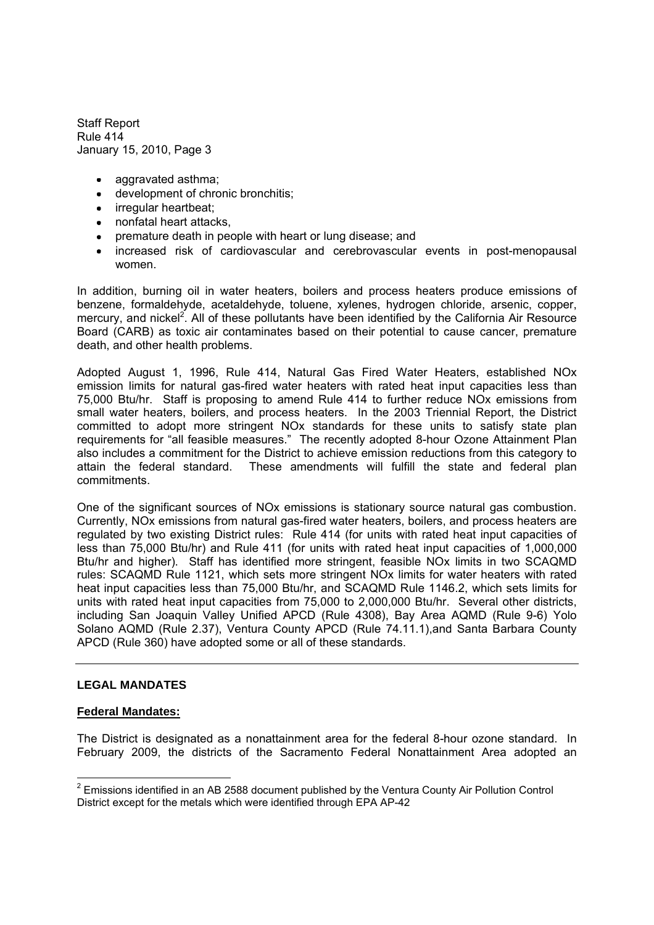- aggravated asthma:
- development of chronic bronchitis;
- irregular heartbeat;
- nonfatal heart attacks,
- premature death in people with heart or lung disease; and
- increased risk of cardiovascular and cerebrovascular events in post-menopausal women.

In addition, burning oil in water heaters, boilers and process heaters produce emissions of benzene, formaldehyde, acetaldehyde, toluene, xylenes, hydrogen chloride, arsenic, copper, mercury, and nickel<sup>2</sup>. All of these pollutants have been identified by the California Air Resource Board (CARB) as toxic air contaminates based on their potential to cause cancer, premature death, and other health problems.

Adopted August 1, 1996, Rule 414, Natural Gas Fired Water Heaters, established NOx emission limits for natural gas-fired water heaters with rated heat input capacities less than 75,000 Btu/hr. Staff is proposing to amend Rule 414 to further reduce NOx emissions from small water heaters, boilers, and process heaters. In the 2003 Triennial Report, the District committed to adopt more stringent NOx standards for these units to satisfy state plan requirements for "all feasible measures." The recently adopted 8-hour Ozone Attainment Plan also includes a commitment for the District to achieve emission reductions from this category to attain the federal standard. These amendments will fulfill the state and federal plan commitments.

One of the significant sources of NOx emissions is stationary source natural gas combustion. Currently, NOx emissions from natural gas-fired water heaters, boilers, and process heaters are regulated by two existing District rules: Rule 414 (for units with rated heat input capacities of less than 75,000 Btu/hr) and Rule 411 (for units with rated heat input capacities of 1,000,000 Btu/hr and higher). Staff has identified more stringent, feasible NOx limits in two SCAQMD rules: SCAQMD Rule 1121, which sets more stringent NOx limits for water heaters with rated heat input capacities less than 75,000 Btu/hr, and SCAQMD Rule 1146.2, which sets limits for units with rated heat input capacities from 75,000 to 2,000,000 Btu/hr. Several other districts, including San Joaquin Valley Unified APCD (Rule 4308), Bay Area AQMD (Rule 9-6) Yolo Solano AQMD (Rule 2.37), Ventura County APCD (Rule 74.11.1),and Santa Barbara County APCD (Rule 360) have adopted some or all of these standards.

#### **LEGAL MANDATES**

#### **Federal Mandates:**

The District is designated as a nonattainment area for the federal 8-hour ozone standard. In February 2009, the districts of the Sacramento Federal Nonattainment Area adopted an

 $2$  Emissions identified in an AB 2588 document published by the Ventura County Air Pollution Control District except for the metals which were identified through EPA AP-42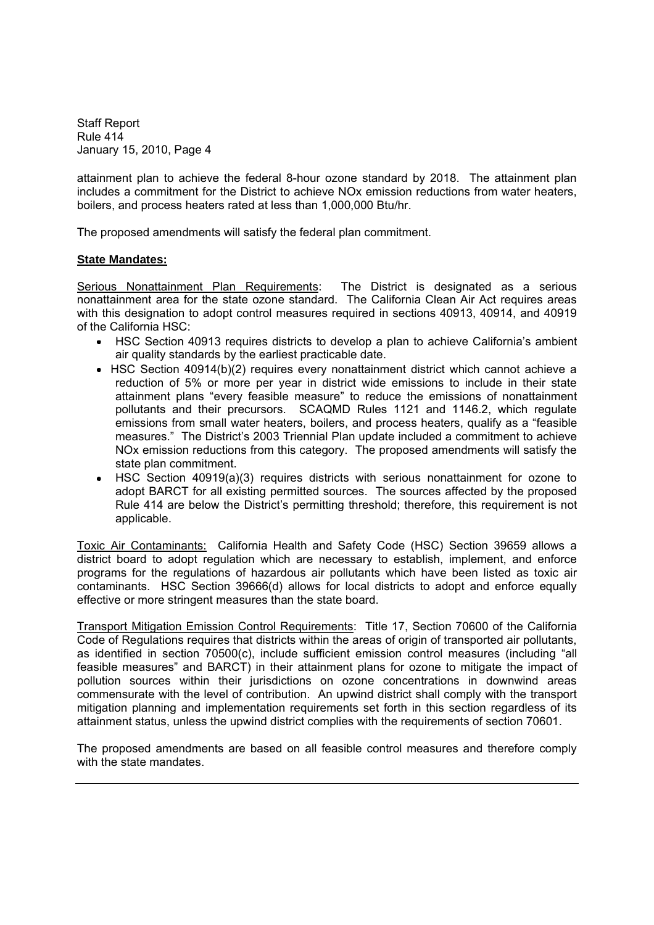attainment plan to achieve the federal 8-hour ozone standard by 2018. The attainment plan includes a commitment for the District to achieve NOx emission reductions from water heaters, boilers, and process heaters rated at less than 1,000,000 Btu/hr.

The proposed amendments will satisfy the federal plan commitment.

# **State Mandates:**

Serious Nonattainment Plan Requirements: The District is designated as a serious nonattainment area for the state ozone standard. The California Clean Air Act requires areas with this designation to adopt control measures required in sections 40913, 40914, and 40919 of the California HSC:

- HSC Section 40913 requires districts to develop a plan to achieve California's ambient air quality standards by the earliest practicable date.
- HSC Section 40914(b)(2) requires every nonattainment district which cannot achieve a reduction of 5% or more per year in district wide emissions to include in their state attainment plans "every feasible measure" to reduce the emissions of nonattainment pollutants and their precursors. SCAQMD Rules 1121 and 1146.2, which regulate emissions from small water heaters, boilers, and process heaters, qualify as a "feasible measures." The District's 2003 Triennial Plan update included a commitment to achieve NOx emission reductions from this category. The proposed amendments will satisfy the state plan commitment.
- HSC Section 40919(a)(3) requires districts with serious nonattainment for ozone to adopt BARCT for all existing permitted sources. The sources affected by the proposed Rule 414 are below the District's permitting threshold; therefore, this requirement is not applicable.

Toxic Air Contaminants: California Health and Safety Code (HSC) Section 39659 allows a district board to adopt regulation which are necessary to establish, implement, and enforce programs for the regulations of hazardous air pollutants which have been listed as toxic air contaminants. HSC Section 39666(d) allows for local districts to adopt and enforce equally effective or more stringent measures than the state board.

Transport Mitigation Emission Control Requirements: Title 17, Section 70600 of the California Code of Regulations requires that districts within the areas of origin of transported air pollutants, as identified in section  $70500(c)$ , include sufficient emission control measures (including "all feasible measures" and BARCT) in their attainment plans for ozone to mitigate the impact of pollution sources within their jurisdictions on ozone concentrations in downwind areas commensurate with the level of contribution. An upwind district shall comply with the transport mitigation planning and implementation requirements set forth in this section regardless of its attainment status, unless the upwind district complies with the requirements of section 70601.

The proposed amendments are based on all feasible control measures and therefore comply with the state mandates.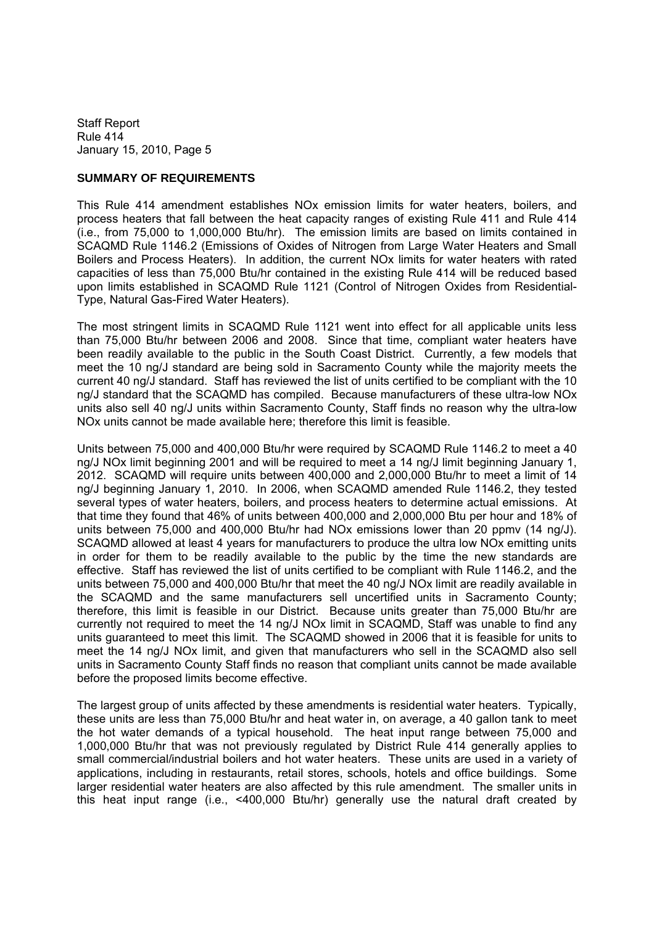### **SUMMARY OF REQUIREMENTS**

This Rule 414 amendment establishes NOx emission limits for water heaters, boilers, and process heaters that fall between the heat capacity ranges of existing Rule 411 and Rule 414 (i.e., from 75,000 to 1,000,000 Btu/hr). The emission limits are based on limits contained in SCAQMD Rule 1146.2 (Emissions of Oxides of Nitrogen from Large Water Heaters and Small Boilers and Process Heaters). In addition, the current NOx limits for water heaters with rated capacities of less than 75,000 Btu/hr contained in the existing Rule 414 will be reduced based upon limits established in SCAQMD Rule 1121 (Control of Nitrogen Oxides from Residential-Type, Natural Gas-Fired Water Heaters).

The most stringent limits in SCAQMD Rule 1121 went into effect for all applicable units less than 75,000 Btu/hr between 2006 and 2008. Since that time, compliant water heaters have been readily available to the public in the South Coast District. Currently, a few models that meet the 10 ng/J standard are being sold in Sacramento County while the majority meets the current 40 ng/J standard. Staff has reviewed the list of units certified to be compliant with the 10 ng/J standard that the SCAQMD has compiled. Because manufacturers of these ultra-low NOx units also sell 40 ng/J units within Sacramento County, Staff finds no reason why the ultra-low NOx units cannot be made available here; therefore this limit is feasible.

Units between 75,000 and 400,000 Btu/hr were required by SCAQMD Rule 1146.2 to meet a 40 ng/J NOx limit beginning 2001 and will be required to meet a 14 ng/J limit beginning January 1, 2012. SCAQMD will require units between 400,000 and 2,000,000 Btu/hr to meet a limit of 14 ng/J beginning January 1, 2010. In 2006, when SCAQMD amended Rule 1146.2, they tested several types of water heaters, boilers, and process heaters to determine actual emissions. At that time they found that 46% of units between 400,000 and 2,000,000 Btu per hour and 18% of units between 75,000 and 400,000 Btu/hr had NOx emissions lower than 20 ppmv (14 ng/J). SCAQMD allowed at least 4 years for manufacturers to produce the ultra low NOx emitting units in order for them to be readily available to the public by the time the new standards are effective. Staff has reviewed the list of units certified to be compliant with Rule 1146.2, and the units between 75,000 and 400,000 Btu/hr that meet the 40 ng/J NOx limit are readily available in the SCAQMD and the same manufacturers sell uncertified units in Sacramento County; therefore, this limit is feasible in our District. Because units greater than 75,000 Btu/hr are currently not required to meet the 14 ng/J NOx limit in SCAQMD, Staff was unable to find any units guaranteed to meet this limit. The SCAQMD showed in 2006 that it is feasible for units to meet the 14 ng/J NOx limit, and given that manufacturers who sell in the SCAQMD also sell units in Sacramento County Staff finds no reason that compliant units cannot be made available before the proposed limits become effective.

The largest group of units affected by these amendments is residential water heaters. Typically, these units are less than 75,000 Btu/hr and heat water in, on average, a 40 gallon tank to meet the hot water demands of a typical household. The heat input range between 75,000 and 1,000,000 Btu/hr that was not previously regulated by District Rule 414 generally applies to small commercial/industrial boilers and hot water heaters. These units are used in a variety of applications, including in restaurants, retail stores, schools, hotels and office buildings. Some larger residential water heaters are also affected by this rule amendment. The smaller units in this heat input range (i.e., <400,000 Btu/hr) generally use the natural draft created by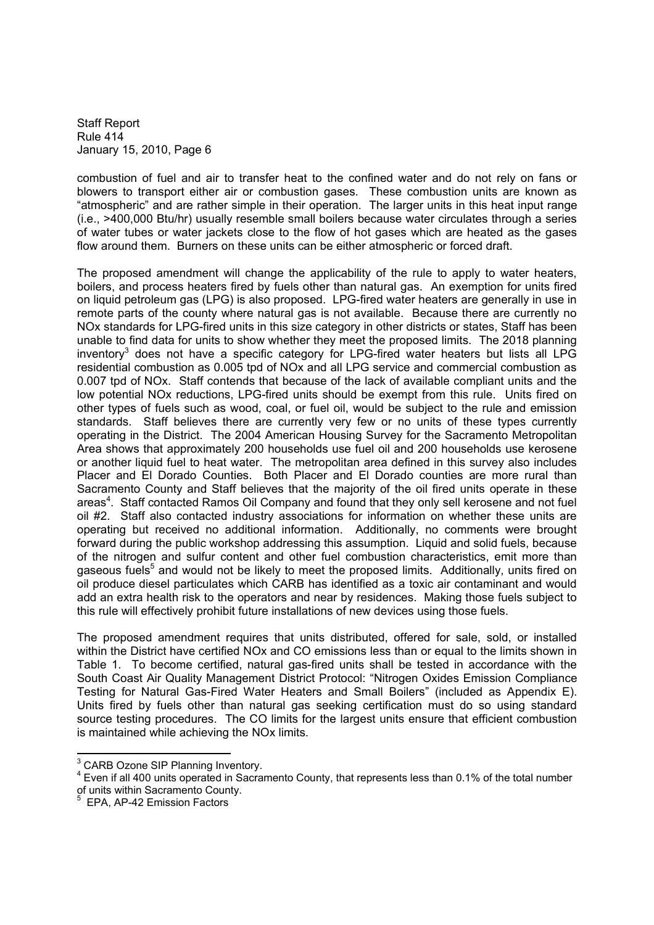combustion of fuel and air to transfer heat to the confined water and do not rely on fans or blowers to transport either air or combustion gases. These combustion units are known as "atmospheric" and are rather simple in their operation. The larger units in this heat input range (i.e., >400,000 Btu/hr) usually resemble small boilers because water circulates through a series of water tubes or water jackets close to the flow of hot gases which are heated as the gases flow around them. Burners on these units can be either atmospheric or forced draft.

The proposed amendment will change the applicability of the rule to apply to water heaters, boilers, and process heaters fired by fuels other than natural gas. An exemption for units fired on liquid petroleum gas (LPG) is also proposed. LPG-fired water heaters are generally in use in remote parts of the county where natural gas is not available. Because there are currently no NOx standards for LPG-fired units in this size category in other districts or states, Staff has been unable to find data for units to show whether they meet the proposed limits. The 2018 planning inventory<sup>3</sup> does not have a specific category for LPG-fired water heaters but lists all LPG residential combustion as 0.005 tpd of NOx and all LPG service and commercial combustion as 0.007 tpd of NOx. Staff contends that because of the lack of available compliant units and the low potential NOx reductions, LPG-fired units should be exempt from this rule. Units fired on other types of fuels such as wood, coal, or fuel oil, would be subject to the rule and emission standards. Staff believes there are currently very few or no units of these types currently operating in the District. The 2004 American Housing Survey for the Sacramento Metropolitan Area shows that approximately 200 households use fuel oil and 200 households use kerosene or another liquid fuel to heat water. The metropolitan area defined in this survey also includes Placer and El Dorado Counties. Both Placer and El Dorado counties are more rural than Sacramento County and Staff believes that the majority of the oil fired units operate in these areas<sup>4</sup>. Staff contacted Ramos Oil Company and found that they only sell kerosene and not fuel oil #2. Staff also contacted industry associations for information on whether these units are operating but received no additional information. Additionally, no comments were brought forward during the public workshop addressing this assumption. Liquid and solid fuels, because of the nitrogen and sulfur content and other fuel combustion characteristics, emit more than gaseous fuels<sup>5</sup> and would not be likely to meet the proposed limits. Additionally, units fired on oil produce diesel particulates which CARB has identified as a toxic air contaminant and would add an extra health risk to the operators and near by residences. Making those fuels subject to this rule will effectively prohibit future installations of new devices using those fuels.

The proposed amendment requires that units distributed, offered for sale, sold, or installed within the District have certified NOx and CO emissions less than or equal to the limits shown in Table 1. To become certified, natural gas-fired units shall be tested in accordance with the South Coast Air Quality Management District Protocol: "Nitrogen Oxides Emission Compliance Testing for Natural Gas-Fired Water Heaters and Small Boilers" (included as Appendix E). Units fired by fuels other than natural gas seeking certification must do so using standard source testing procedures. The CO limits for the largest units ensure that efficient combustion is maintained while achieving the NOx limits.

<sup>&</sup>lt;sup>3</sup> CARB Ozone SIP Planning Inventory.

<sup>&</sup>lt;sup>4</sup> Even if all 400 units operated in Sacramento County, that represents less than 0.1% of the total number of units within Sacramento County.

<sup>5</sup> EPA, AP-42 Emission Factors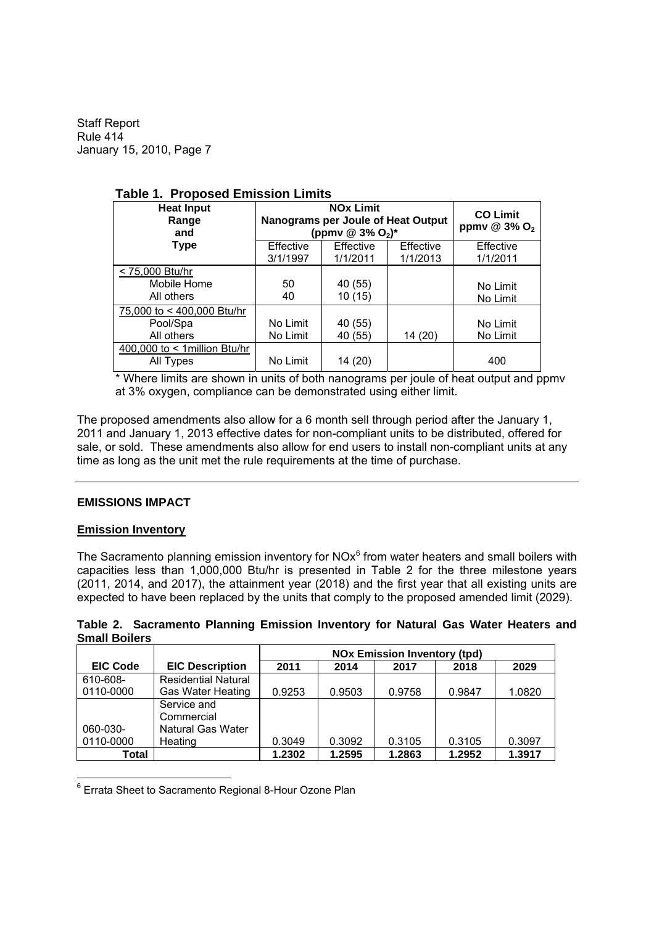| . apic  oposca Ennosion Ennito                       |                                                                         |                                                |         |                       |
|------------------------------------------------------|-------------------------------------------------------------------------|------------------------------------------------|---------|-----------------------|
| <b>Heat Input</b><br>Range<br>and                    | Nanograms per Joule of Heat Output<br>(ppmv @ $3\%$ O <sub>2</sub> )*   | <b>CO Limit</b><br>ppmv @ $3\%$ O <sub>2</sub> |         |                       |
| <b>Type</b>                                          | Effective<br>Effective<br>Effective<br>3/1/1997<br>1/1/2011<br>1/1/2013 |                                                |         | Effective<br>1/1/2011 |
| < 75,000 Btu/hr<br>Mobile Home<br>All others         | 50<br>40                                                                | 40 (55)<br>10(15)                              |         | No Limit<br>No Limit  |
| 75,000 to < 400,000 Btu/hr<br>Pool/Spa<br>All others | No Limit<br>No Limit                                                    | 40 (55)<br>40 (55)                             | 14 (20) | No Limit<br>No Limit  |
| 400,000 to < 1 million Btu/hr<br>All Types           | No Limit                                                                | 14 (20)                                        |         | 400                   |

# **Table 1. Proposed Emission Limits**

Where limits are shown in units of both nanograms per joule of heat output and ppmv at 3% oxygen, compliance can be demonstrated using either limit.

The proposed amendments also allow for a 6 month sell through period after the January 1, 2011 and January 1, 2013 effective dates for non-compliant units to be distributed, offered for sale, or sold. These amendments also allow for end users to install non-compliant units at any time as long as the unit met the rule requirements at the time of purchase.

### **EMISSIONS IMPACT**

#### **Emission Inventory**

The Sacramento planning emission inventory for NO $x^6$  from water heaters and small boilers with capacities less than 1,000,000 Btu/hr is presented in Table 2 for the three milestone years (2011, 2014, and 2017), the attainment year (2018) and the first year that all existing units are expected to have been replaced by the units that comply to the proposed amended limit (2029).

|                      | Table 2. Sacramento Planning Emission Inventory for Natural Gas Water Heaters and |  |  |  |  |  |
|----------------------|-----------------------------------------------------------------------------------|--|--|--|--|--|
| <b>Small Boilers</b> |                                                                                   |  |  |  |  |  |

|                 |                            | <b>NOx Emission Inventory (tpd)</b> |        |        |        |        |
|-----------------|----------------------------|-------------------------------------|--------|--------|--------|--------|
| <b>EIC Code</b> | <b>EIC Description</b>     | 2011                                | 2014   | 2017   | 2018   | 2029   |
| 610-608-        | <b>Residential Natural</b> |                                     |        |        |        |        |
| 0110-0000       | <b>Gas Water Heating</b>   | 0.9253                              | 0.9503 | 0.9758 | 0.9847 | 1.0820 |
|                 | Service and                |                                     |        |        |        |        |
|                 | Commercial                 |                                     |        |        |        |        |
| 060-030-        | Natural Gas Water          |                                     |        |        |        |        |
| 0110-0000       | Heating                    | 0.3049                              | 0.3092 | 0.3105 | 0.3105 | 0.3097 |
| Total           |                            | 1.2302                              | 1.2595 | 1.2863 | 1.2952 | 1.3917 |

<sup>6</sup> Errata Sheet to Sacramento Regional 8-Hour Ozone Plan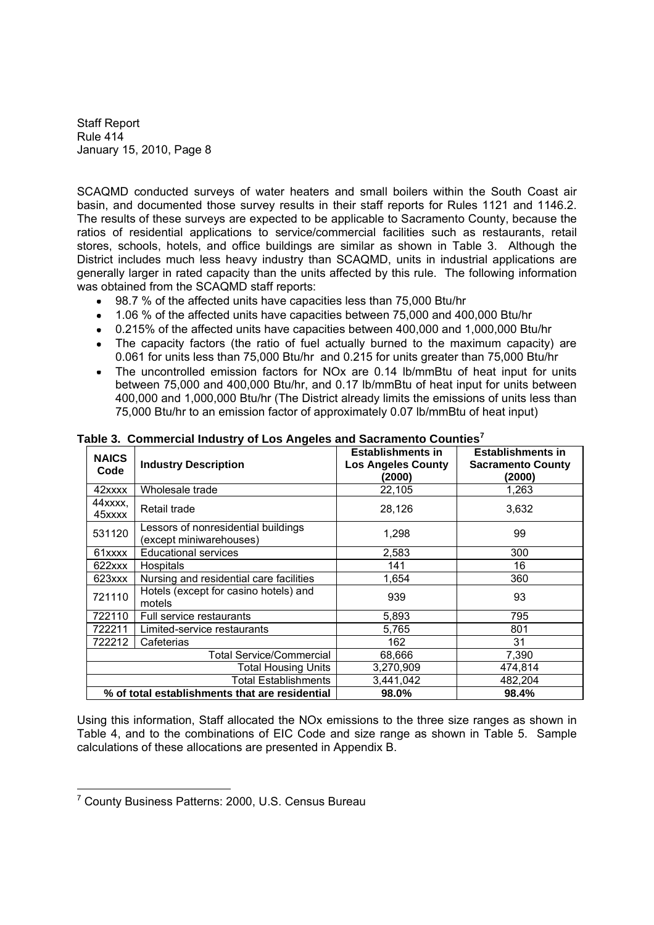SCAQMD conducted surveys of water heaters and small boilers within the South Coast air basin, and documented those survey results in their staff reports for Rules 1121 and 1146.2. The results of these surveys are expected to be applicable to Sacramento County, because the ratios of residential applications to service/commercial facilities such as restaurants, retail stores, schools, hotels, and office buildings are similar as shown in Table 3. Although the District includes much less heavy industry than SCAQMD, units in industrial applications are generally larger in rated capacity than the units affected by this rule. The following information was obtained from the SCAQMD staff reports:

- 98.7 % of the affected units have capacities less than 75,000 Btu/hr
- 1.06 % of the affected units have capacities between 75,000 and 400,000 Btu/hr
- 0.215% of the affected units have capacities between 400,000 and 1,000,000 Btu/hr
- The capacity factors (the ratio of fuel actually burned to the maximum capacity) are 0.061 for units less than 75,000 Btu/hr and 0.215 for units greater than 75,000 Btu/hr
- The uncontrolled emission factors for NOx are 0.14 lb/mmBtu of heat input for units between 75,000 and 400,000 Btu/hr, and 0.17 lb/mmBtu of heat input for units between 400,000 and 1,000,000 Btu/hr (The District already limits the emissions of units less than 75,000 Btu/hr to an emission factor of approximately 0.07 lb/mmBtu of heat input)

| <b>NAICS</b><br>Code            | <b>Industry Description</b>                                    | <b>Establishments in</b><br><b>Los Angeles County</b><br>(2000) | <b>Establishments in</b><br><b>Sacramento County</b><br>(2000) |  |
|---------------------------------|----------------------------------------------------------------|-----------------------------------------------------------------|----------------------------------------------------------------|--|
| 42xxxx                          | Wholesale trade                                                | 22,105                                                          | 1,263                                                          |  |
| 44xxxx,<br>45xxxx               | Retail trade                                                   | 28,126                                                          | 3,632                                                          |  |
| 531120                          | Lessors of nonresidential buildings<br>(except miniwarehouses) | 1,298                                                           | 99                                                             |  |
| 61xxxx                          | <b>Educational services</b>                                    | 2,583                                                           | 300                                                            |  |
| 622xxx                          | <b>Hospitals</b>                                               | 141                                                             | 16                                                             |  |
| 623xxx                          | Nursing and residential care facilities                        | 1,654                                                           | 360                                                            |  |
| 721110                          | Hotels (except for casino hotels) and<br>motels                | 939                                                             | 93                                                             |  |
| 722110                          | Full service restaurants                                       | 5,893                                                           | 795                                                            |  |
| 722211                          | Limited-service restaurants                                    | 5,765                                                           | 801                                                            |  |
| 722212                          | Cafeterias                                                     | 162                                                             | 31                                                             |  |
| <b>Total Service/Commercial</b> |                                                                | 68,666                                                          | 7,390                                                          |  |
| <b>Total Housing Units</b>      |                                                                | 3,270,909                                                       | 474,814                                                        |  |
|                                 | <b>Total Establishments</b>                                    | 3,441,042                                                       | 482,204                                                        |  |
|                                 | % of total establishments that are residential                 | 98.0%                                                           | 98.4%                                                          |  |

**Table 3. Commercial Industry of Los Angeles and Sacramento Counties<sup>7</sup>**

Using this information, Staff allocated the NOx emissions to the three size ranges as shown in Table 4, and to the combinations of EIC Code and size range as shown in Table 5. Sample calculations of these allocations are presented in Appendix B.

<sup>7</sup> County Business Patterns: 2000, U.S. Census Bureau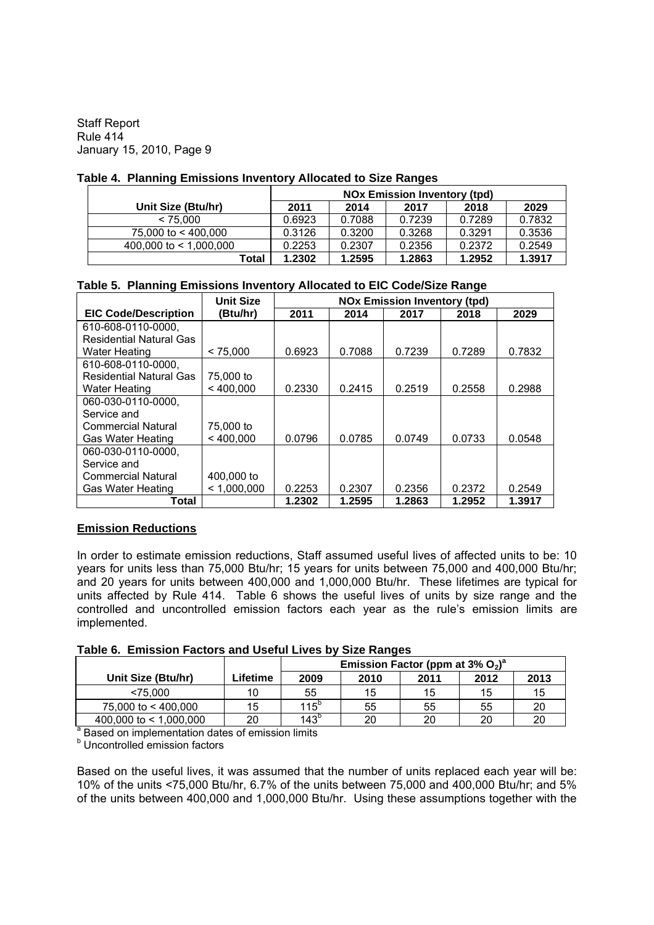### **Table 4. Planning Emissions Inventory Allocated to Size Ranges**

|                          | <b>NOx Emission Inventory (tpd)</b> |        |        |        |        |
|--------------------------|-------------------------------------|--------|--------|--------|--------|
| Unit Size (Btu/hr)       | 2011                                | 2014   | 2017   | 2018   | 2029   |
| < 75.000                 | 0.6923                              | 0.7088 | 0.7239 | 0.7289 | 0.7832 |
| 75,000 to < 400,000      | 0.3126                              | 0.3200 | 0.3268 | 0.3291 | 0.3536 |
| 400,000 to $<$ 1,000,000 | 0.2253                              | 0.2307 | 0.2356 | 0.2372 | 0.2549 |
| Total                    | 1.2302                              | 1.2595 | 1.2863 | 1.2952 | 1.3917 |

# **Table 5. Planning Emissions Inventory Allocated to EIC Code/Size Range**

|                                | <b>Unit Size</b> | <b>NOx Emission Inventory (tpd)</b> |        |        |        |        |
|--------------------------------|------------------|-------------------------------------|--------|--------|--------|--------|
| <b>EIC Code/Description</b>    | (Btu/hr)         | 2011                                | 2014   | 2017   | 2018   | 2029   |
| 610-608-0110-0000,             |                  |                                     |        |        |        |        |
| <b>Residential Natural Gas</b> |                  |                                     |        |        |        |        |
| <b>Water Heating</b>           | < 75.000         | 0.6923                              | 0.7088 | 0.7239 | 0.7289 | 0.7832 |
| 610-608-0110-0000,             |                  |                                     |        |        |        |        |
| <b>Residential Natural Gas</b> | 75,000 to        |                                     |        |        |        |        |
| <b>Water Heating</b>           | < 400,000        | 0.2330                              | 0.2415 | 0.2519 | 0.2558 | 0.2988 |
| 060-030-0110-0000,             |                  |                                     |        |        |        |        |
| Service and                    |                  |                                     |        |        |        |        |
| <b>Commercial Natural</b>      | 75,000 to        |                                     |        |        |        |        |
| Gas Water Heating              | < 400.000        | 0.0796                              | 0.0785 | 0.0749 | 0.0733 | 0.0548 |
| 060-030-0110-0000,             |                  |                                     |        |        |        |        |
| Service and                    |                  |                                     |        |        |        |        |
| <b>Commercial Natural</b>      | 400,000 to       |                                     |        |        |        |        |
| <b>Gas Water Heating</b>       | < 1.000.000      | 0.2253                              | 0.2307 | 0.2356 | 0.2372 | 0.2549 |
| Total                          |                  | 1.2302                              | 1.2595 | 1.2863 | 1.2952 | 1.3917 |

# **Emission Reductions**

In order to estimate emission reductions, Staff assumed useful lives of affected units to be: 10 years for units less than 75,000 Btu/hr; 15 years for units between 75,000 and 400,000 Btu/hr; and 20 years for units between 400,000 and 1,000,000 Btu/hr. These lifetimes are typical for units affected by Rule 414. Table 6 shows the useful lives of units by size range and the controlled and uncontrolled emission factors each year as the rule's emission limits are implemented.

### **Table 6. Emission Factors and Useful Lives by Size Ranges**

|                          |          |               | Emission Factor (ppm at $3\%$ O <sub>2</sub> ) <sup>a</sup> |      |      |      |  |
|--------------------------|----------|---------------|-------------------------------------------------------------|------|------|------|--|
| Unit Size (Btu/hr)       | ∟ifetime | 2009          | 2010                                                        | 2011 | 2012 | 2013 |  |
| $<$ 75.000               | 10       | 55            | 15                                                          | 15   | 15   | 15   |  |
| 75,000 to < 400,000      | 15       | $115^b$       | 55                                                          | 55   | 55   | 20   |  |
| 400,000 to $<$ 1,000,000 | 20       | $143^{\circ}$ | 20                                                          | 20   | 20   | 20   |  |

<sup>a</sup> Based on implementation dates of emission limits

**b** Uncontrolled emission factors

Based on the useful lives, it was assumed that the number of units replaced each year will be: 10% of the units <75,000 Btu/hr, 6.7% of the units between 75,000 and 400,000 Btu/hr; and 5% of the units between 400,000 and 1,000,000 Btu/hr. Using these assumptions together with the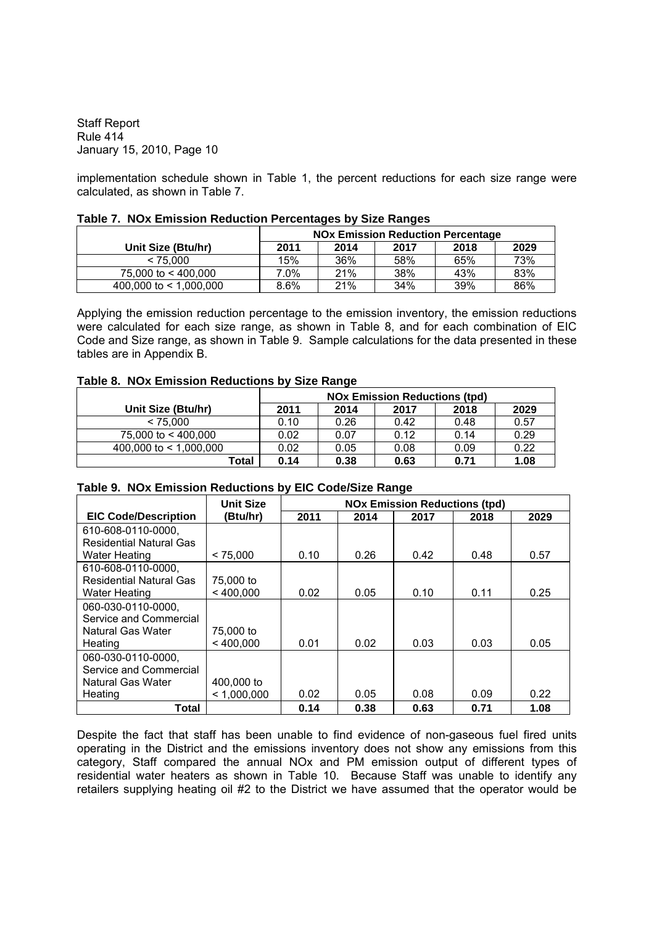implementation schedule shown in Table 1, the percent reductions for each size range were calculated, as shown in Table 7.

|                          |         |      | <b>NOx Emission Reduction Percentage</b> |      |      |
|--------------------------|---------|------|------------------------------------------|------|------|
| Unit Size (Btu/hr)       | 2011    | 2014 | 2017                                     | 2018 | 2029 |
| < 75.000                 | 15%     | 36%  | 58%                                      | 65%  | 73%  |
| 75,000 to $<$ 400,000    | 7.0%    | 21%  | 38%                                      | 43%  | 83%  |
| 400,000 to $<$ 1,000,000 | $8.6\%$ | 21%  | 34%                                      | 39%  | 86%  |

#### **Table 7. NOx Emission Reduction Percentages by Size Ranges**

Applying the emission reduction percentage to the emission inventory, the emission reductions were calculated for each size range, as shown in Table 8, and for each combination of EIC Code and Size range, as shown in Table 9. Sample calculations for the data presented in these tables are in Appendix B.

#### **Table 8. NOx Emission Reductions by Size Range**

|                          | <b>NOx Emission Reductions (tpd)</b> |      |      |      |      |
|--------------------------|--------------------------------------|------|------|------|------|
| Unit Size (Btu/hr)       | 2011                                 | 2014 | 2017 | 2018 | 2029 |
| < 75.000                 | 0.10                                 | 0.26 | 0.42 | 0.48 | 0.57 |
| 75,000 to < 400,000      | 0.02                                 | 0.07 | 0.12 | 0.14 | 0.29 |
| 400,000 to $<$ 1.000,000 | 0.02                                 | 0.05 | 0.08 | 0.09 | 0.22 |
| Total                    | 0.14                                 | 0.38 | 0.63 | 0.71 | 1.08 |

#### **Table 9. NOx Emission Reductions by EIC Code/Size Range**

|                                | <b>Unit Size</b> | <b>NOx Emission Reductions (tpd)</b> |      |      |      |      |
|--------------------------------|------------------|--------------------------------------|------|------|------|------|
| <b>EIC Code/Description</b>    | (Btu/hr)         | 2011                                 | 2014 | 2017 | 2018 | 2029 |
| 610-608-0110-0000.             |                  |                                      |      |      |      |      |
| <b>Residential Natural Gas</b> |                  |                                      |      |      |      |      |
| Water Heating                  | < 75.000         | 0.10                                 | 0.26 | 0.42 | 0.48 | 0.57 |
| 610-608-0110-0000,             |                  |                                      |      |      |      |      |
| <b>Residential Natural Gas</b> | 75,000 to        |                                      |      |      |      |      |
| <b>Water Heating</b>           | < 400.000        | 0.02                                 | 0.05 | 0.10 | 0.11 | 0.25 |
| 060-030-0110-0000.             |                  |                                      |      |      |      |      |
| Service and Commercial         |                  |                                      |      |      |      |      |
| Natural Gas Water              | 75,000 to        |                                      |      |      |      |      |
| Heating                        | < 400.000        | 0.01                                 | 0.02 | 0.03 | 0.03 | 0.05 |
| 060-030-0110-0000.             |                  |                                      |      |      |      |      |
| Service and Commercial         |                  |                                      |      |      |      |      |
| Natural Gas Water              | 400,000 to       |                                      |      |      |      |      |
| Heating                        | < 1.000.000      | 0.02                                 | 0.05 | 0.08 | 0.09 | 0.22 |
| <b>Total</b>                   |                  | 0.14                                 | 0.38 | 0.63 | 0.71 | 1.08 |

Despite the fact that staff has been unable to find evidence of non-gaseous fuel fired units operating in the District and the emissions inventory does not show any emissions from this category, Staff compared the annual NOx and PM emission output of different types of residential water heaters as shown in Table 10. Because Staff was unable to identify any retailers supplying heating oil #2 to the District we have assumed that the operator would be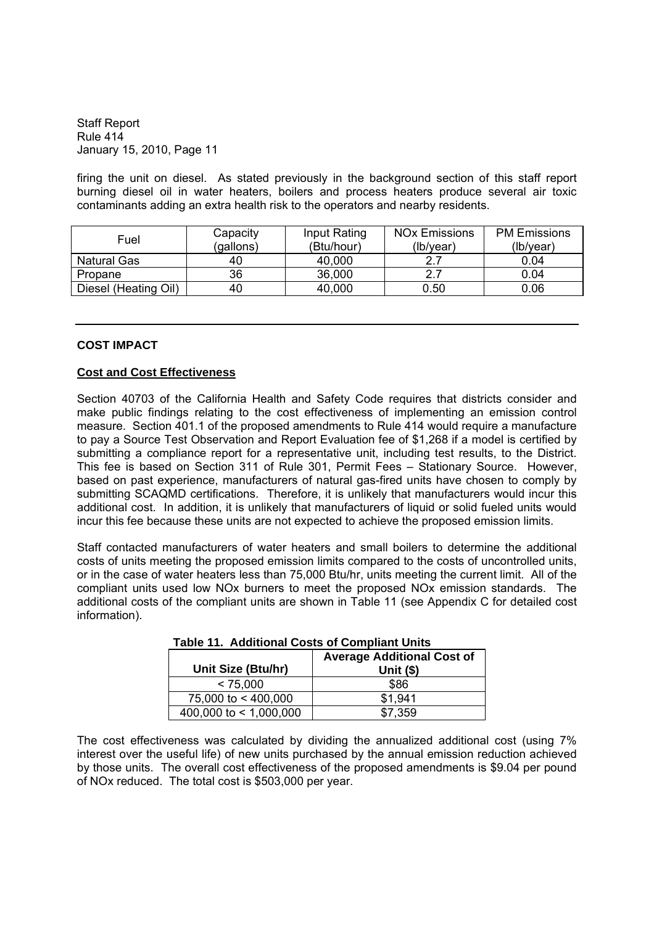firing the unit on diesel. As stated previously in the background section of this staff report burning diesel oil in water heaters, boilers and process heaters produce several air toxic contaminants adding an extra health risk to the operators and nearby residents.

| Fuel                 | Capacity<br>(gallons) | Input Rating<br>(Btu/hour) | <b>NO<sub>x</sub></b> Emissions<br>(lb/year) | <b>PM Emissions</b><br>(lb/year) |
|----------------------|-----------------------|----------------------------|----------------------------------------------|----------------------------------|
| Natural Gas          | 40                    | 40,000                     | າາ                                           | 0.04                             |
| Propane              | 36                    | 36,000                     | 2.7                                          | 0.04                             |
| Diesel (Heating Oil) | 40                    | 40,000                     | 0.50                                         | 0.06                             |

#### **COST IMPACT**

### **Cost and Cost Effectiveness**

Section 40703 of the California Health and Safety Code requires that districts consider and make public findings relating to the cost effectiveness of implementing an emission control measure. Section 401.1 of the proposed amendments to Rule 414 would require a manufacture to pay a Source Test Observation and Report Evaluation fee of \$1,268 if a model is certified by submitting a compliance report for a representative unit, including test results, to the District. This fee is based on Section 311 of Rule 301, Permit Fees - Stationary Source. However, based on past experience, manufacturers of natural gas-fired units have chosen to comply by submitting SCAQMD certifications. Therefore, it is unlikely that manufacturers would incur this additional cost. In addition, it is unlikely that manufacturers of liquid or solid fueled units would incur this fee because these units are not expected to achieve the proposed emission limits.

Staff contacted manufacturers of water heaters and small boilers to determine the additional costs of units meeting the proposed emission limits compared to the costs of uncontrolled units, or in the case of water heaters less than 75,000 Btu/hr, units meeting the current limit. All of the compliant units used low NOx burners to meet the proposed NOx emission standards. The additional costs of the compliant units are shown in Table 11 (see Appendix C for detailed cost information).

| Unit Size (Btu/hr)     | <b>Average Additional Cost of</b><br>Unit $(§)$ |
|------------------------|-------------------------------------------------|
| < 75,000               | \$86                                            |
| 75,000 to < 400,000    | \$1.941                                         |
| 400,000 to < 1,000,000 | \$7,359                                         |

**Table 11. Additional Costs of Compliant Units**

The cost effectiveness was calculated by dividing the annualized additional cost (using 7% interest over the useful life) of new units purchased by the annual emission reduction achieved by those units. The overall cost effectiveness of the proposed amendments is \$9.04 per pound of NOx reduced. The total cost is \$503,000 per year.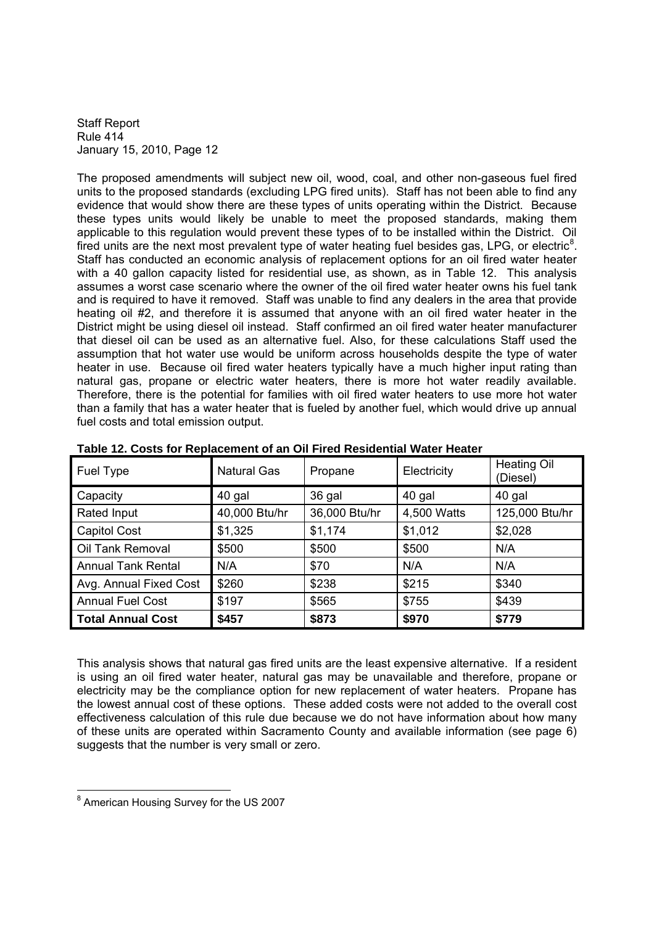The proposed amendments will subject new oil, wood, coal, and other non-gaseous fuel fired units to the proposed standards (excluding LPG fired units). Staff has not been able to find any evidence that would show there are these types of units operating within the District. Because these types units would likely be unable to meet the proposed standards, making them applicable to this regulation would prevent these types of to be installed within the District. Oil fired units are the next most prevalent type of water heating fuel besides gas, LPG, or electric<sup>8</sup>. Staff has conducted an economic analysis of replacement options for an oil fired water heater with a 40 gallon capacity listed for residential use, as shown, as in Table 12. This analysis assumes a worst case scenario where the owner of the oil fired water heater owns his fuel tank and is required to have it removed. Staff was unable to find any dealers in the area that provide heating oil #2, and therefore it is assumed that anyone with an oil fired water heater in the District might be using diesel oil instead. Staff confirmed an oil fired water heater manufacturer that diesel oil can be used as an alternative fuel. Also, for these calculations Staff used the assumption that hot water use would be uniform across households despite the type of water heater in use. Because oil fired water heaters typically have a much higher input rating than natural gas, propane or electric water heaters, there is more hot water readily available. Therefore, there is the potential for families with oil fired water heaters to use more hot water than a family that has a water heater that is fueled by another fuel, which would drive up annual fuel costs and total emission output.

| Fuel Type                 | <b>Natural Gas</b> | Propane       | Electricity | <b>Heating Oil</b><br>(Diesel) |
|---------------------------|--------------------|---------------|-------------|--------------------------------|
| Capacity                  | 40 gal             | 36 gal        | 40 gal      | 40 gal                         |
| Rated Input               | 40,000 Btu/hr      | 36,000 Btu/hr | 4,500 Watts | 125,000 Btu/hr                 |
| <b>Capitol Cost</b>       | \$1,325            | \$1,174       | \$1,012     | \$2,028                        |
| Oil Tank Removal          | \$500              | \$500         | \$500       | N/A                            |
| <b>Annual Tank Rental</b> | N/A                | \$70          | N/A         | N/A                            |
| Avg. Annual Fixed Cost    | \$260              | \$238         | \$215       | \$340                          |
| <b>Annual Fuel Cost</b>   | \$197              | \$565         | \$755       | \$439                          |
| <b>Total Annual Cost</b>  | \$457              | \$873         | \$970       | \$779                          |

| Table 12. Costs for Replacement of an Oil Fired Residential Water Heater |
|--------------------------------------------------------------------------|
|--------------------------------------------------------------------------|

This analysis shows that natural gas fired units are the least expensive alternative. If a resident is using an oil fired water heater, natural gas may be unavailable and therefore, propane or electricity may be the compliance option for new replacement of water heaters. Propane has the lowest annual cost of these options. These added costs were not added to the overall cost effectiveness calculation of this rule due because we do not have information about how many of these units are operated within Sacramento County and available information (see page 6) suggests that the number is very small or zero.

<sup>8</sup> American Housing Survey for the US 2007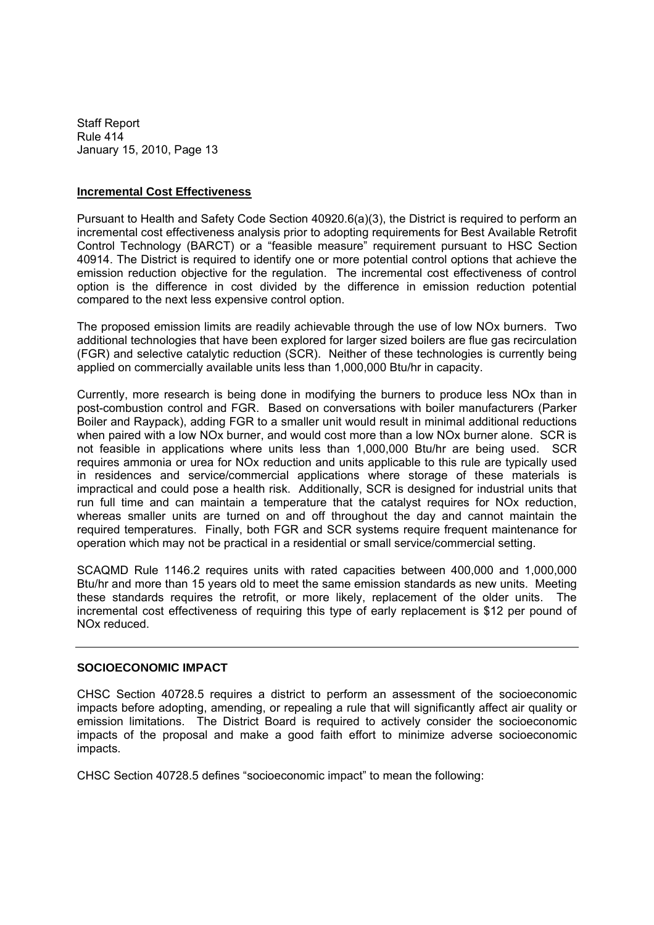#### **Incremental Cost Effectiveness**

Pursuant to Health and Safety Code Section 40920.6(a)(3), the District is required to perform an incremental cost effectiveness analysis prior to adopting requirements for Best Available Retrofit Control Technology (BARCT) or a "feasible measure" requirement pursuant to HSC Section 40914. The District is required to identify one or more potential control options that achieve the emission reduction objective for the regulation. The incremental cost effectiveness of control option is the difference in cost divided by the difference in emission reduction potential compared to the next less expensive control option.

The proposed emission limits are readily achievable through the use of low NOx burners. Two additional technologies that have been explored for larger sized boilers are flue gas recirculation (FGR) and selective catalytic reduction (SCR). Neither of these technologies is currently being applied on commercially available units less than 1,000,000 Btu/hr in capacity.

Currently, more research is being done in modifying the burners to produce less NOx than in post-combustion control and FGR. Based on conversations with boiler manufacturers (Parker Boiler and Raypack), adding FGR to a smaller unit would result in minimal additional reductions when paired with a low NOx burner, and would cost more than a low NOx burner alone. SCR is not feasible in applications where units less than 1,000,000 Btu/hr are being used. SCR requires ammonia or urea for NOx reduction and units applicable to this rule are typically used in residences and service/commercial applications where storage of these materials is impractical and could pose a health risk. Additionally, SCR is designed for industrial units that run full time and can maintain a temperature that the catalyst requires for NOx reduction, whereas smaller units are turned on and off throughout the day and cannot maintain the required temperatures. Finally, both FGR and SCR systems require frequent maintenance for operation which may not be practical in a residential or small service/commercial setting.

SCAQMD Rule 1146.2 requires units with rated capacities between 400,000 and 1,000,000 Btu/hr and more than 15 years old to meet the same emission standards as new units. Meeting these standards requires the retrofit, or more likely, replacement of the older units. The incremental cost effectiveness of requiring this type of early replacement is \$12 per pound of NOx reduced.

#### **SOCIOECONOMIC IMPACT**

CHSC Section 40728.5 requires a district to perform an assessment of the socioeconomic impacts before adopting, amending, or repealing a rule that will significantly affect air quality or emission limitations. The District Board is required to actively consider the socioeconomic impacts of the proposal and make a good faith effort to minimize adverse socioeconomic impacts.

CHSC Section 40728.5 defines "socioeconomic impact" to mean the following: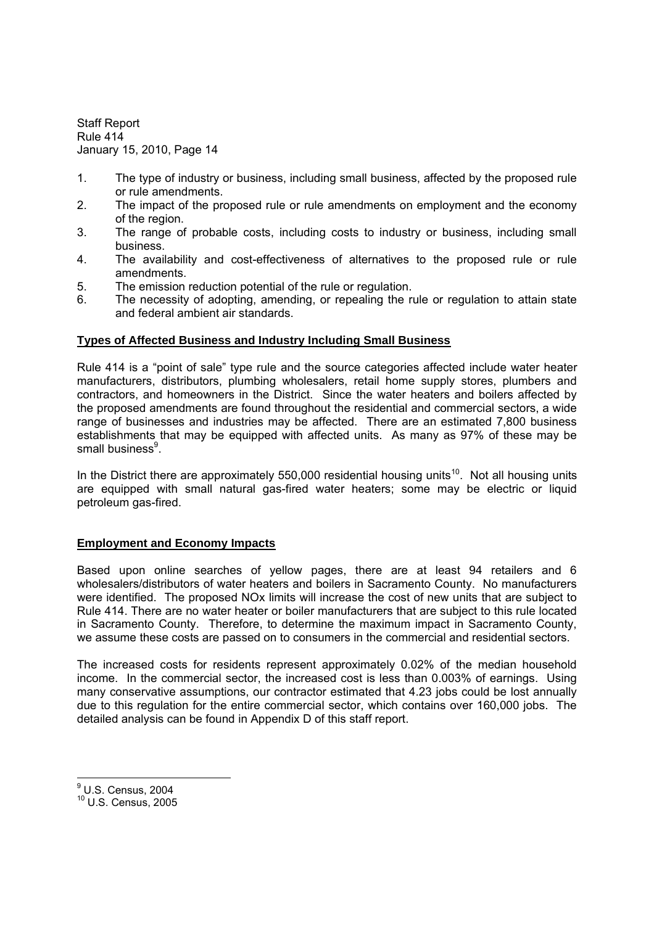- 1. The type of industry or business, including small business, affected by the proposed rule or rule amendments.
- 2. The impact of the proposed rule or rule amendments on employment and the economy of the region.
- 3. The range of probable costs, including costs to industry or business, including small business.
- 4. The availability and cost-effectiveness of alternatives to the proposed rule or rule amendments.
- 5. The emission reduction potential of the rule or regulation.
- 6. The necessity of adopting, amending, or repealing the rule or regulation to attain state and federal ambient air standards.

# **Types of Affected Business and Industry Including Small Business**

Rule 414 is a "point of sale" type rule and the source categories affected include water heater manufacturers, distributors, plumbing wholesalers, retail home supply stores, plumbers and contractors, and homeowners in the District. Since the water heaters and boilers affected by the proposed amendments are found throughout the residential and commercial sectors, a wide range of businesses and industries may be affected. There are an estimated 7,800 business establishments that may be equipped with affected units. As many as 97% of these may be small business<sup>9</sup>.

In the District there are approximately 550,000 residential housing units<sup>10</sup>. Not all housing units are equipped with small natural gas-fired water heaters; some may be electric or liquid petroleum gas-fired.

# **Employment and Economy Impacts**

Based upon online searches of yellow pages, there are at least 94 retailers and 6 wholesalers/distributors of water heaters and boilers in Sacramento County. No manufacturers were identified. The proposed NOx limits will increase the cost of new units that are subject to Rule 414. There are no water heater or boiler manufacturers that are subject to this rule located in Sacramento County. Therefore, to determine the maximum impact in Sacramento County, we assume these costs are passed on to consumers in the commercial and residential sectors.

The increased costs for residents represent approximately 0.02% of the median household income. In the commercial sector, the increased cost is less than 0.003% of earnings. Using many conservative assumptions, our contractor estimated that 4.23 jobs could be lost annually due to this regulation for the entire commercial sector, which contains over 160,000 jobs. The detailed analysis can be found in Appendix D of this staff report.

<sup>9</sup> U.S. Census, 2004

<sup>10</sup> U.S. Census, 2005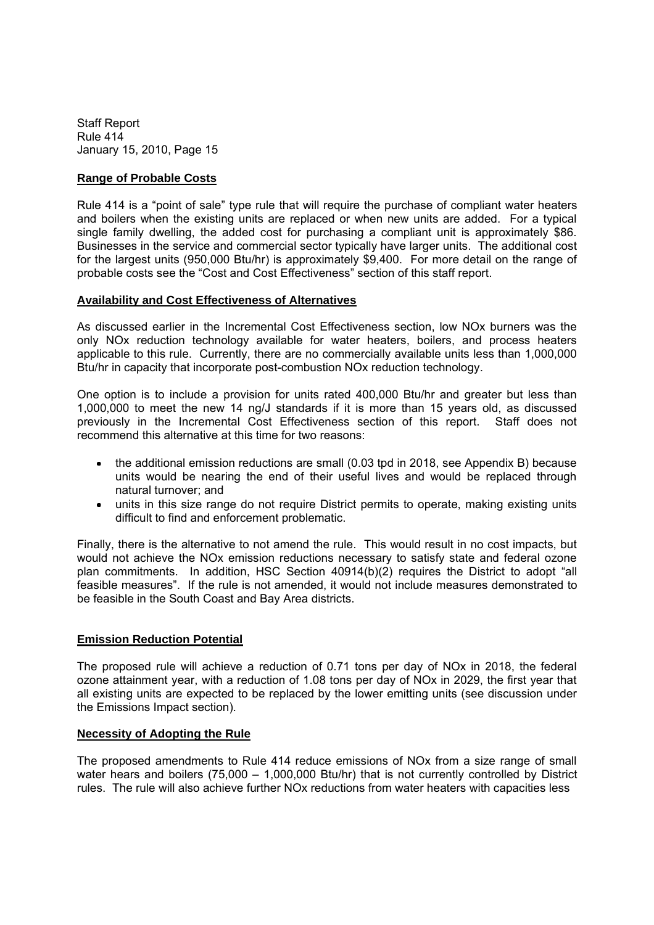# **Range of Probable Costs**

Rule 414 is a "point of sale" type rule that will require the purchase of compliant water heaters and boilers when the existing units are replaced or when new units are added. For a typical single family dwelling, the added cost for purchasing a compliant unit is approximately \$86. Businesses in the service and commercial sector typically have larger units. The additional cost for the largest units (950,000 Btu/hr) is approximately \$9,400. For more detail on the range of probable costs see the "Cost and Cost Effectiveness" section of this staff report.

### **Availability and Cost Effectiveness of Alternatives**

As discussed earlier in the Incremental Cost Effectiveness section, low NOx burners was the only NOx reduction technology available for water heaters, boilers, and process heaters applicable to this rule. Currently, there are no commercially available units less than 1,000,000 Btu/hr in capacity that incorporate post-combustion NOx reduction technology.

One option is to include a provision for units rated 400,000 Btu/hr and greater but less than 1,000,000 to meet the new 14 ng/J standards if it is more than 15 years old, as discussed previously in the Incremental Cost Effectiveness section of this report. Staff does not recommend this alternative at this time for two reasons:

- the additional emission reductions are small (0.03 tpd in 2018, see Appendix B) because units would be nearing the end of their useful lives and would be replaced through natural turnover; and
- units in this size range do not require District permits to operate, making existing units difficult to find and enforcement problematic.

Finally, there is the alternative to not amend the rule. This would result in no cost impacts, but would not achieve the NOx emission reductions necessary to satisfy state and federal ozone plan commitments. In addition, HSC Section  $40914(b)(2)$  requires the District to adopt "all feasible measures". If the rule is not amended, it would not include measures demonstrated to be feasible in the South Coast and Bay Area districts.

# **Emission Reduction Potential**

The proposed rule will achieve a reduction of 0.71 tons per day of NOx in 2018, the federal ozone attainment year, with a reduction of 1.08 tons per day of NOx in 2029, the first year that all existing units are expected to be replaced by the lower emitting units (see discussion under the Emissions Impact section).

#### **Necessity of Adopting the Rule**

The proposed amendments to Rule 414 reduce emissions of NOx from a size range of small water hears and boilers  $(75,000 - 1,000,000$  Btu/hr) that is not currently controlled by District rules. The rule will also achieve further NOx reductions from water heaters with capacities less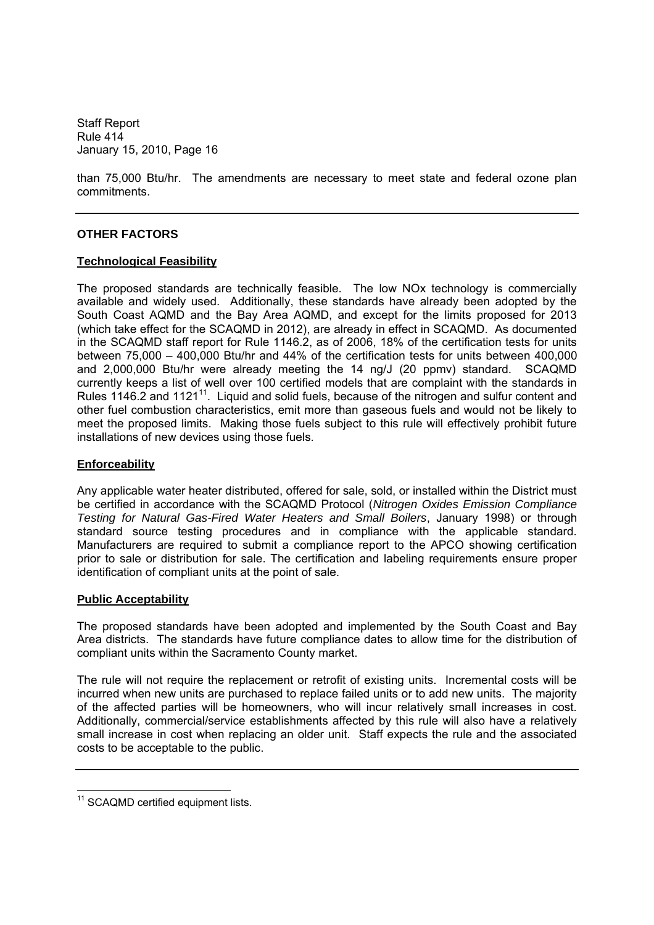than 75,000 Btu/hr. The amendments are necessary to meet state and federal ozone plan commitments.

# **OTHER FACTORS**

### **Technological Feasibility**

The proposed standards are technically feasible. The low NOx technology is commercially available and widely used. Additionally, these standards have already been adopted by the South Coast AQMD and the Bay Area AQMD, and except for the limits proposed for 2013 (which take effect for the SCAQMD in 2012), are already in effect in SCAQMD. As documented in the SCAQMD staff report for Rule 1146.2, as of 2006, 18% of the certification tests for units between 75,000 - 400,000 Btu/hr and 44% of the certification tests for units between 400,000 and 2,000,000 Btu/hr were already meeting the 14 ng/J (20 ppmv) standard. SCAQMD currently keeps a list of well over 100 certified models that are complaint with the standards in Rules 1146.2 and 1121<sup>11</sup>. Liquid and solid fuels, because of the nitrogen and sulfur content and other fuel combustion characteristics, emit more than gaseous fuels and would not be likely to meet the proposed limits. Making those fuels subject to this rule will effectively prohibit future installations of new devices using those fuels.

#### **Enforceability**

Any applicable water heater distributed, offered for sale, sold, or installed within the District must be certified in accordance with the SCAQMD Protocol (*Nitrogen Oxides Emission Compliance Testing for Natural Gas-Fired Water Heaters and Small Boilers*, January 1998) or through standard source testing procedures and in compliance with the applicable standard. Manufacturers are required to submit a compliance report to the APCO showing certification prior to sale or distribution for sale. The certification and labeling requirements ensure proper identification of compliant units at the point of sale.

#### **Public Acceptability**

The proposed standards have been adopted and implemented by the South Coast and Bay Area districts. The standards have future compliance dates to allow time for the distribution of compliant units within the Sacramento County market.

The rule will not require the replacement or retrofit of existing units. Incremental costs will be incurred when new units are purchased to replace failed units or to add new units. The majority of the affected parties will be homeowners, who will incur relatively small increases in cost. Additionally, commercial/service establishments affected by this rule will also have a relatively small increase in cost when replacing an older unit. Staff expects the rule and the associated costs to be acceptable to the public.

<sup>&</sup>lt;sup>11</sup> SCAQMD certified equipment lists.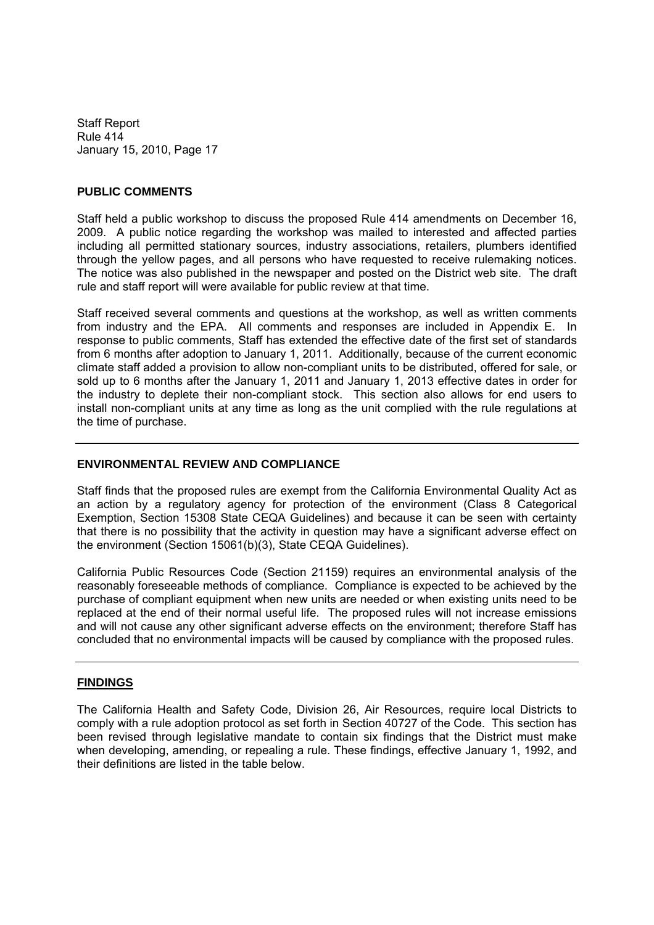### **PUBLIC COMMENTS**

Staff held a public workshop to discuss the proposed Rule 414 amendments on December 16, 2009. A public notice regarding the workshop was mailed to interested and affected parties including all permitted stationary sources, industry associations, retailers, plumbers identified through the yellow pages, and all persons who have requested to receive rulemaking notices. The notice was also published in the newspaper and posted on the District web site. The draft rule and staff report will were available for public review at that time.

Staff received several comments and questions at the workshop, as well as written comments from industry and the EPA. All comments and responses are included in Appendix E. In response to public comments, Staff has extended the effective date of the first set of standards from 6 months after adoption to January 1, 2011. Additionally, because of the current economic climate staff added a provision to allow non-compliant units to be distributed, offered for sale, or sold up to 6 months after the January 1, 2011 and January 1, 2013 effective dates in order for the industry to deplete their non-compliant stock. This section also allows for end users to install non-compliant units at any time as long as the unit complied with the rule regulations at the time of purchase.

### **ENVIRONMENTAL REVIEW AND COMPLIANCE**

Staff finds that the proposed rules are exempt from the California Environmental Quality Act as an action by a regulatory agency for protection of the environment (Class 8 Categorical Exemption, Section 15308 State CEQA Guidelines) and because it can be seen with certainty that there is no possibility that the activity in question may have a significant adverse effect on the environment (Section 15061(b)(3), State CEQA Guidelines).

California Public Resources Code (Section 21159) requires an environmental analysis of the reasonably foreseeable methods of compliance. Compliance is expected to be achieved by the purchase of compliant equipment when new units are needed or when existing units need to be replaced at the end of their normal useful life. The proposed rules will not increase emissions and will not cause any other significant adverse effects on the environment; therefore Staff has concluded that no environmental impacts will be caused by compliance with the proposed rules.

#### **FINDINGS**

The California Health and Safety Code, Division 26, Air Resources, require local Districts to comply with a rule adoption protocol as set forth in Section 40727 of the Code. This section has been revised through legislative mandate to contain six findings that the District must make when developing, amending, or repealing a rule. These findings, effective January 1, 1992, and their definitions are listed in the table below.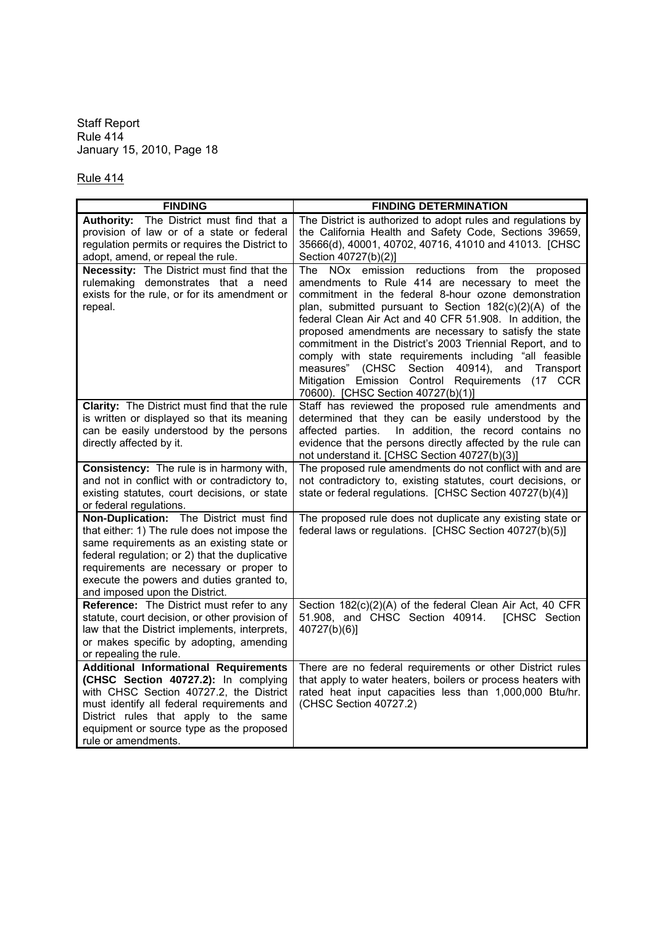Rule 414

| <b>FINDING</b>                                                                                                                                                                                                                                                                                                   | <b>FINDING DETERMINATION</b>                                                                                                                                                                                                                                                                                                                                                                                                                                                                                                                                                                                                  |
|------------------------------------------------------------------------------------------------------------------------------------------------------------------------------------------------------------------------------------------------------------------------------------------------------------------|-------------------------------------------------------------------------------------------------------------------------------------------------------------------------------------------------------------------------------------------------------------------------------------------------------------------------------------------------------------------------------------------------------------------------------------------------------------------------------------------------------------------------------------------------------------------------------------------------------------------------------|
| Authority: The District must find that a<br>provision of law or of a state or federal<br>regulation permits or requires the District to<br>adopt, amend, or repeal the rule.                                                                                                                                     | The District is authorized to adopt rules and regulations by<br>the California Health and Safety Code, Sections 39659,<br>35666(d), 40001, 40702, 40716, 41010 and 41013. [CHSC<br>Section 40727(b)(2)]                                                                                                                                                                                                                                                                                                                                                                                                                       |
| <b>Necessity:</b> The District must find that the<br>rulemaking demonstrates that a need<br>exists for the rule, or for its amendment or<br>repeal.                                                                                                                                                              | The NOx emission reductions from the<br>proposed<br>amendments to Rule 414 are necessary to meet the<br>commitment in the federal 8-hour ozone demonstration<br>plan, submitted pursuant to Section 182(c)(2)(A) of the<br>federal Clean Air Act and 40 CFR 51.908. In addition, the<br>proposed amendments are necessary to satisfy the state<br>commitment in the District's 2003 Triennial Report, and to<br>comply with state requirements including "all feasible<br>(CHSC Section<br>40914),<br>Transport<br>measures"<br>and<br>Mitigation Emission Control Requirements (17 CCR<br>70600). [CHSC Section 40727(b)(1)] |
| <b>Clarity:</b> The District must find that the rule<br>is written or displayed so that its meaning<br>can be easily understood by the persons<br>directly affected by it.                                                                                                                                       | Staff has reviewed the proposed rule amendments and<br>determined that they can be easily understood by the<br>In addition, the record contains no<br>affected parties.<br>evidence that the persons directly affected by the rule can<br>not understand it. [CHSC Section 40727(b)(3)]                                                                                                                                                                                                                                                                                                                                       |
| Consistency: The rule is in harmony with,<br>and not in conflict with or contradictory to,<br>existing statutes, court decisions, or state<br>or federal regulations.                                                                                                                                            | The proposed rule amendments do not conflict with and are<br>not contradictory to, existing statutes, court decisions, or<br>state or federal regulations. [CHSC Section 40727(b)(4)]                                                                                                                                                                                                                                                                                                                                                                                                                                         |
| Non-Duplication: The District must find<br>that either: 1) The rule does not impose the<br>same requirements as an existing state or<br>federal regulation; or 2) that the duplicative<br>requirements are necessary or proper to<br>execute the powers and duties granted to,<br>and imposed upon the District. | The proposed rule does not duplicate any existing state or<br>federal laws or regulations. [CHSC Section 40727(b)(5)]                                                                                                                                                                                                                                                                                                                                                                                                                                                                                                         |
| Reference: The District must refer to any<br>statute, court decision, or other provision of<br>law that the District implements, interprets,<br>or makes specific by adopting, amending<br>or repealing the rule.                                                                                                | Section 182(c)(2)(A) of the federal Clean Air Act, 40 CFR<br>51.908, and CHSC Section 40914.<br>[CHSC Section<br>40727(b)(6)]                                                                                                                                                                                                                                                                                                                                                                                                                                                                                                 |
| <b>Additional Informational Requirements</b><br>(CHSC Section 40727.2): In complying<br>with CHSC Section 40727.2, the District<br>must identify all federal requirements and<br>District rules that apply to the same<br>equipment or source type as the proposed<br>rule or amendments.                        | There are no federal requirements or other District rules<br>that apply to water heaters, boilers or process heaters with<br>rated heat input capacities less than 1,000,000 Btu/hr.<br>(CHSC Section 40727.2)                                                                                                                                                                                                                                                                                                                                                                                                                |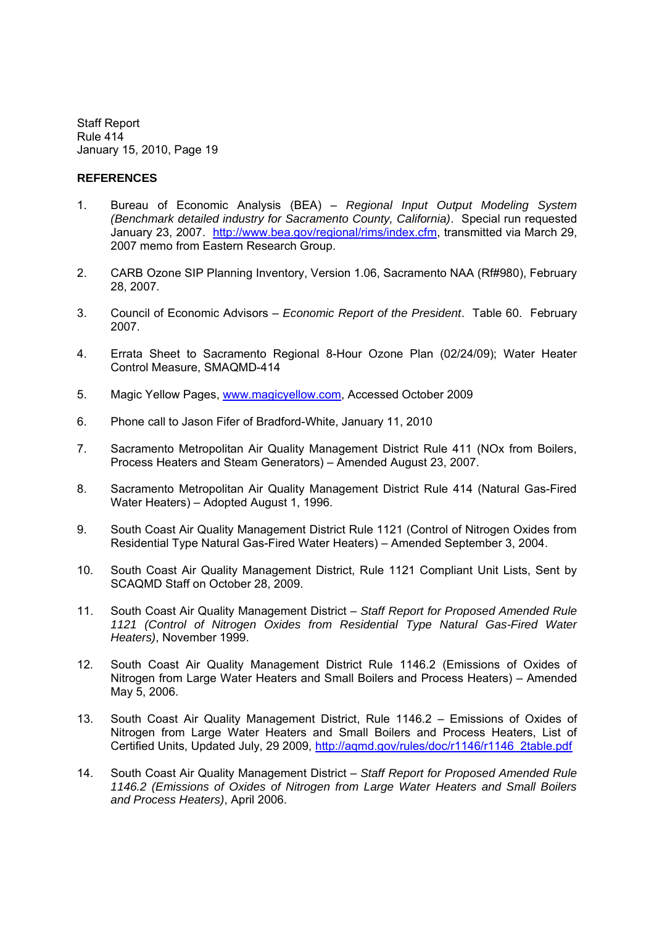#### **REFERENCES**

- 1. Bureau of Economic Analysis (BEA) *Regional Input Output Modeling System (Benchmark detailed industry for Sacramento County, California)*. Special run requested January 23, 2007. http://www.bea.gov/regional/rims/index.cfm, transmitted via March 29, 2007 memo from Eastern Research Group.
- 2. CARB Ozone SIP Planning Inventory, Version 1.06, Sacramento NAA (Rf#980), February 28, 2007.
- 3. Council of Economic Advisors *Economic Report of the President*. Table 60. February 2007.
- 4. Errata Sheet to Sacramento Regional 8-Hour Ozone Plan (02/24/09); Water Heater Control Measure, SMAQMD-414
- 5. Magic Yellow Pages, www.magicyellow.com, Accessed October 2009
- 6. Phone call to Jason Fifer of Bradford-White, January 11, 2010
- 7. Sacramento Metropolitan Air Quality Management District Rule 411 (NOx from Boilers, Process Heaters and Steam Generators) - Amended August 23, 2007.
- 8. Sacramento Metropolitan Air Quality Management District Rule 414 (Natural Gas-Fired Water Heaters) – Adopted August 1, 1996.
- 9. South Coast Air Quality Management District Rule 1121 (Control of Nitrogen Oxides from Residential Type Natural Gas-Fired Water Heaters) Amended September 3, 2004.
- 10. South Coast Air Quality Management District, Rule 1121 Compliant Unit Lists, Sent by SCAQMD Staff on October 28, 2009.
- 11. South Coast Air Quality Management District *Staff Report for Proposed Amended Rule 1121 (Control of Nitrogen Oxides from Residential Type Natural Gas-Fired Water Heaters)*, November 1999.
- 12. South Coast Air Quality Management District Rule 1146.2 (Emissions of Oxides of Nitrogen from Large Water Heaters and Small Boilers and Process Heaters) - Amended May 5, 2006.
- 13. South Coast Air Quality Management District, Rule 1146.2 Emissions of Oxides of Nitrogen from Large Water Heaters and Small Boilers and Process Heaters, List of Certified Units, Updated July, 29 2009, http://aqmd.gov/rules/doc/r1146/r1146\_2table.pdf
- 14. South Coast Air Quality Management District *Staff Report for Proposed Amended Rule 1146.2 (Emissions of Oxides of Nitrogen from Large Water Heaters and Small Boilers and Process Heaters)*, April 2006.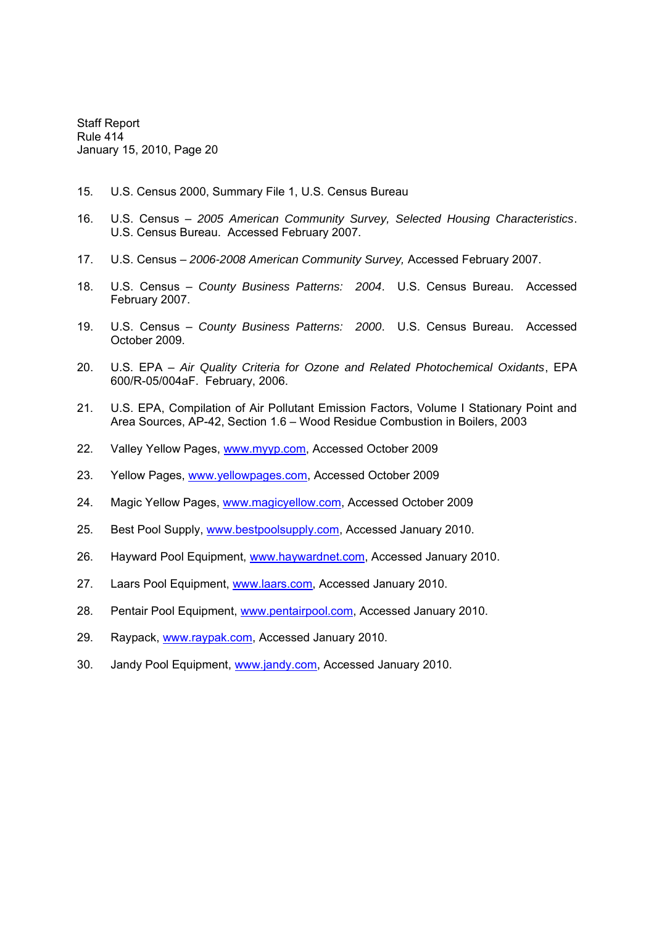- 15. U.S. Census 2000, Summary File 1, U.S. Census Bureau
- 16. U.S. Census *2005 American Community Survey, Selected Housing Characteristics*. U.S. Census Bureau. Accessed February 2007.
- 17. U.S. Census *2006-2008 American Community Survey,* Accessed February 2007.
- 18. U.S. Census *County Business Patterns: 2004*. U.S. Census Bureau. Accessed February 2007.
- 19. U.S. Census *County Business Patterns: 2000*. U.S. Census Bureau. Accessed October 2009.
- 20. U.S. EPA *Air Quality Criteria for Ozone and Related Photochemical Oxidants*, EPA 600/R-05/004aF. February, 2006.
- 21. U.S. EPA, Compilation of Air Pollutant Emission Factors, Volume I Stationary Point and Area Sources, AP-42, Section 1.6 Wood Residue Combustion in Boilers, 2003
- 22. Valley Yellow Pages, www.myyp.com, Accessed October 2009
- 23. Yellow Pages, www.yellowpages.com, Accessed October 2009
- 24. Magic Yellow Pages, www.magicyellow.com, Accessed October 2009
- 25. Best Pool Supply, www.bestpoolsupply.com, Accessed January 2010.
- 26. Hayward Pool Equipment, www.haywardnet.com, Accessed January 2010.
- 27. Laars Pool Equipment, www.laars.com, Accessed January 2010.
- 28. Pentair Pool Equipment, www.pentairpool.com, Accessed January 2010.
- 29. Raypack, www.raypak.com, Accessed January 2010.
- 30. Jandy Pool Equipment, www.jandy.com, Accessed January 2010.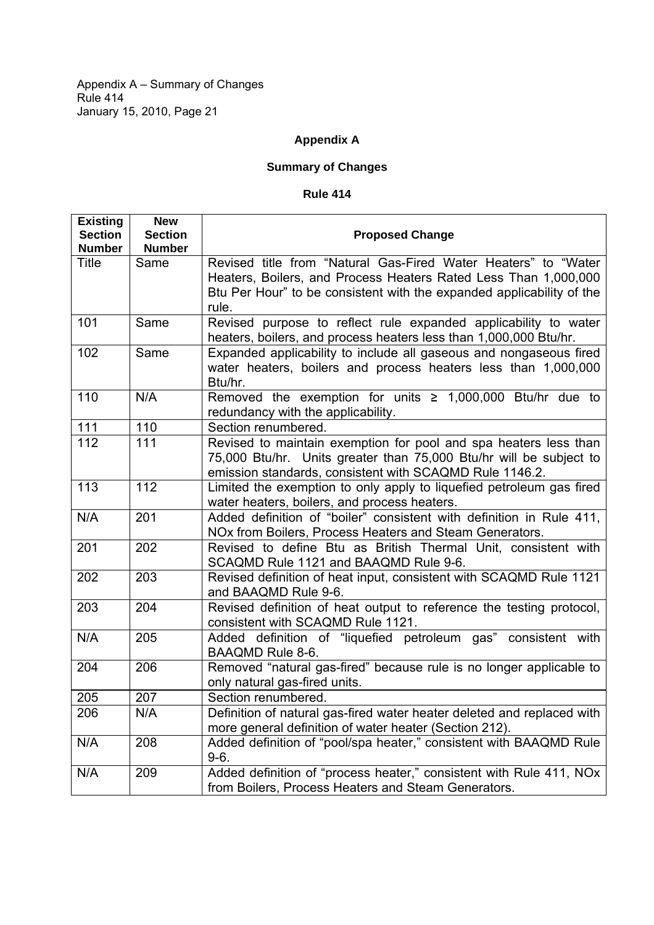Appendix A – Summary of Changes Rule 414 January 15, 2010, Page 21

# **Appendix A**

# **Summary of Changes**

## **Rule 414**

| <b>Existing</b><br><b>Section</b> | <b>New</b><br><b>Section</b> | <b>Proposed Change</b>                                                                                                                                                                                              |
|-----------------------------------|------------------------------|---------------------------------------------------------------------------------------------------------------------------------------------------------------------------------------------------------------------|
| <b>Number</b>                     | <b>Number</b>                |                                                                                                                                                                                                                     |
| Title                             | Same                         | Revised title from "Natural Gas-Fired Water Heaters" to "Water<br>Heaters, Boilers, and Process Heaters Rated Less Than 1,000,000<br>Btu Per Hour" to be consistent with the expanded applicability of the<br>rule. |
| 101                               | Same                         | Revised purpose to reflect rule expanded applicability to water<br>heaters, boilers, and process heaters less than 1,000,000 Btu/hr.                                                                                |
| 102                               | Same                         | Expanded applicability to include all gaseous and nongaseous fired<br>water heaters, boilers and process heaters less than 1,000,000<br>Btu/hr.                                                                     |
| 110                               | N/A                          | Removed the exemption for units $\geq 1,000,000$ Btu/hr due to<br>redundancy with the applicability.                                                                                                                |
| 111                               | 110                          | Section renumbered.                                                                                                                                                                                                 |
| 112                               | 111                          | Revised to maintain exemption for pool and spa heaters less than<br>75,000 Btu/hr. Units greater than 75,000 Btu/hr will be subject to<br>emission standards, consistent with SCAQMD Rule 1146.2.                   |
| 113                               | 112                          | Limited the exemption to only apply to liquefied petroleum gas fired<br>water heaters, boilers, and process heaters.                                                                                                |
| N/A                               | 201                          | Added definition of "boiler" consistent with definition in Rule 411,<br>NOx from Boilers, Process Heaters and Steam Generators.                                                                                     |
| 201                               | 202                          | Revised to define Btu as British Thermal Unit, consistent with<br>SCAQMD Rule 1121 and BAAQMD Rule 9-6.                                                                                                             |
| 202                               | 203                          | Revised definition of heat input, consistent with SCAQMD Rule 1121<br>and BAAQMD Rule 9-6.                                                                                                                          |
| 203                               | 204                          | Revised definition of heat output to reference the testing protocol,<br>consistent with SCAQMD Rule 1121.                                                                                                           |
| N/A                               | 205                          | Added definition of "liquefied petroleum gas" consistent with<br>BAAQMD Rule 8-6.                                                                                                                                   |
| 204                               | 206                          | Removed "natural gas-fired" because rule is no longer applicable to<br>only natural gas-fired units.                                                                                                                |
| 205                               | 207                          | Section renumbered.                                                                                                                                                                                                 |
| 206                               | N/A                          | Definition of natural gas-fired water heater deleted and replaced with<br>more general definition of water heater (Section 212).                                                                                    |
| N/A                               | 208                          | Added definition of "pool/spa heater," consistent with BAAQMD Rule<br>$9-6.$                                                                                                                                        |
| N/A                               | 209                          | Added definition of "process heater," consistent with Rule 411, NOx<br>from Boilers, Process Heaters and Steam Generators.                                                                                          |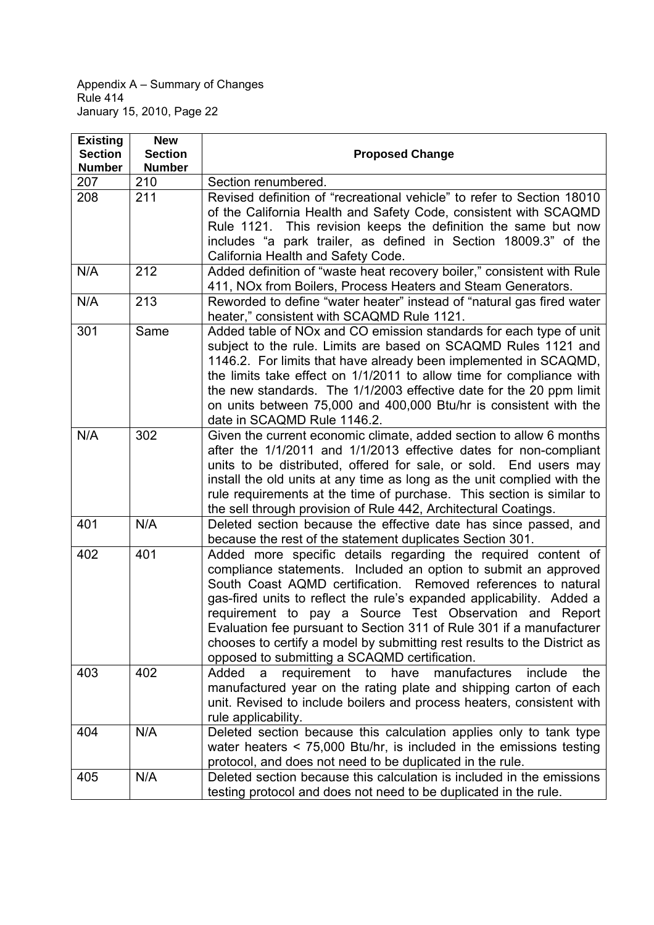Appendix A – Summary of Changes Rule 414 January 15, 2010, Page 22

| <b>Existing</b><br><b>Section</b><br><b>Number</b> | <b>New</b><br><b>Section</b><br><b>Number</b> | <b>Proposed Change</b>                                                                                                                                                                                                                                                                                                                                                                                                                                                                                                                        |
|----------------------------------------------------|-----------------------------------------------|-----------------------------------------------------------------------------------------------------------------------------------------------------------------------------------------------------------------------------------------------------------------------------------------------------------------------------------------------------------------------------------------------------------------------------------------------------------------------------------------------------------------------------------------------|
| 207                                                | 210                                           | Section renumbered.                                                                                                                                                                                                                                                                                                                                                                                                                                                                                                                           |
| 208                                                | 211                                           | Revised definition of "recreational vehicle" to refer to Section 18010<br>of the California Health and Safety Code, consistent with SCAQMD<br>Rule 1121. This revision keeps the definition the same but now<br>includes "a park trailer, as defined in Section 18009.3" of the<br>California Health and Safety Code.                                                                                                                                                                                                                         |
| N/A                                                | 212                                           | Added definition of "waste heat recovery boiler," consistent with Rule<br>411, NOx from Boilers, Process Heaters and Steam Generators.                                                                                                                                                                                                                                                                                                                                                                                                        |
| N/A                                                | 213                                           | Reworded to define "water heater" instead of "natural gas fired water<br>heater," consistent with SCAQMD Rule 1121.                                                                                                                                                                                                                                                                                                                                                                                                                           |
| 301                                                | Same                                          | Added table of NOx and CO emission standards for each type of unit<br>subject to the rule. Limits are based on SCAQMD Rules 1121 and<br>1146.2. For limits that have already been implemented in SCAQMD,<br>the limits take effect on 1/1/2011 to allow time for compliance with<br>the new standards. The 1/1/2003 effective date for the 20 ppm limit<br>on units between 75,000 and 400,000 Btu/hr is consistent with the<br>date in SCAQMD Rule 1146.2.                                                                                   |
| N/A                                                | 302                                           | Given the current economic climate, added section to allow 6 months<br>after the 1/1/2011 and 1/1/2013 effective dates for non-compliant<br>units to be distributed, offered for sale, or sold. End users may<br>install the old units at any time as long as the unit complied with the<br>rule requirements at the time of purchase. This section is similar to<br>the sell through provision of Rule 442, Architectural Coatings.                                                                                                          |
| 401                                                | N/A                                           | Deleted section because the effective date has since passed, and<br>because the rest of the statement duplicates Section 301.                                                                                                                                                                                                                                                                                                                                                                                                                 |
| 402                                                | 401                                           | Added more specific details regarding the required content of<br>compliance statements. Included an option to submit an approved<br>South Coast AQMD certification.<br>Removed references to natural<br>gas-fired units to reflect the rule's expanded applicability. Added a<br>requirement to pay a Source Test Observation and Report<br>Evaluation fee pursuant to Section 311 of Rule 301 if a manufacturer<br>chooses to certify a model by submitting rest results to the District as<br>opposed to submitting a SCAQMD certification. |
| 403                                                | 402                                           | manufactures<br>Added<br>requirement<br>include<br>to<br>have<br>the<br>a<br>manufactured year on the rating plate and shipping carton of each<br>unit. Revised to include boilers and process heaters, consistent with<br>rule applicability.                                                                                                                                                                                                                                                                                                |
| 404                                                | N/A                                           | Deleted section because this calculation applies only to tank type<br>water heaters $\leq$ 75,000 Btu/hr, is included in the emissions testing<br>protocol, and does not need to be duplicated in the rule.                                                                                                                                                                                                                                                                                                                                   |
| 405                                                | N/A                                           | Deleted section because this calculation is included in the emissions<br>testing protocol and does not need to be duplicated in the rule.                                                                                                                                                                                                                                                                                                                                                                                                     |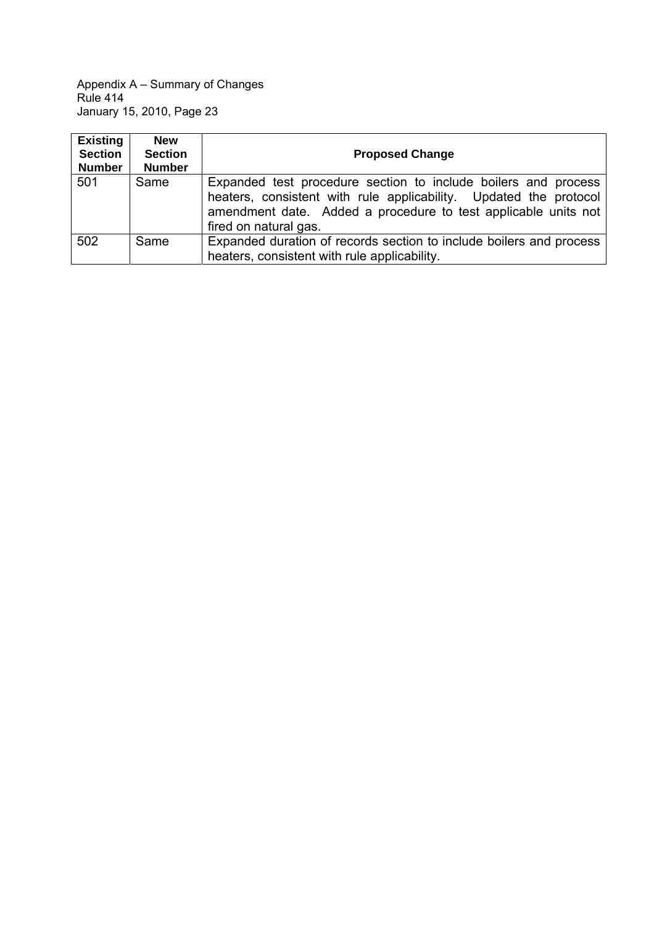Appendix A – Summary of Changes Rule 414 January 15, 2010, Page 23

| <b>Existing</b><br><b>Section</b><br><b>Number</b> | <b>New</b><br><b>Section</b><br><b>Number</b> | <b>Proposed Change</b>                                                                                                                                                                                                         |
|----------------------------------------------------|-----------------------------------------------|--------------------------------------------------------------------------------------------------------------------------------------------------------------------------------------------------------------------------------|
| 501                                                | Same                                          | Expanded test procedure section to include boilers and process<br>heaters, consistent with rule applicability. Updated the protocol<br>amendment date. Added a procedure to test applicable units not<br>fired on natural gas. |
| 502                                                | Same                                          | Expanded duration of records section to include boilers and process<br>heaters, consistent with rule applicability.                                                                                                            |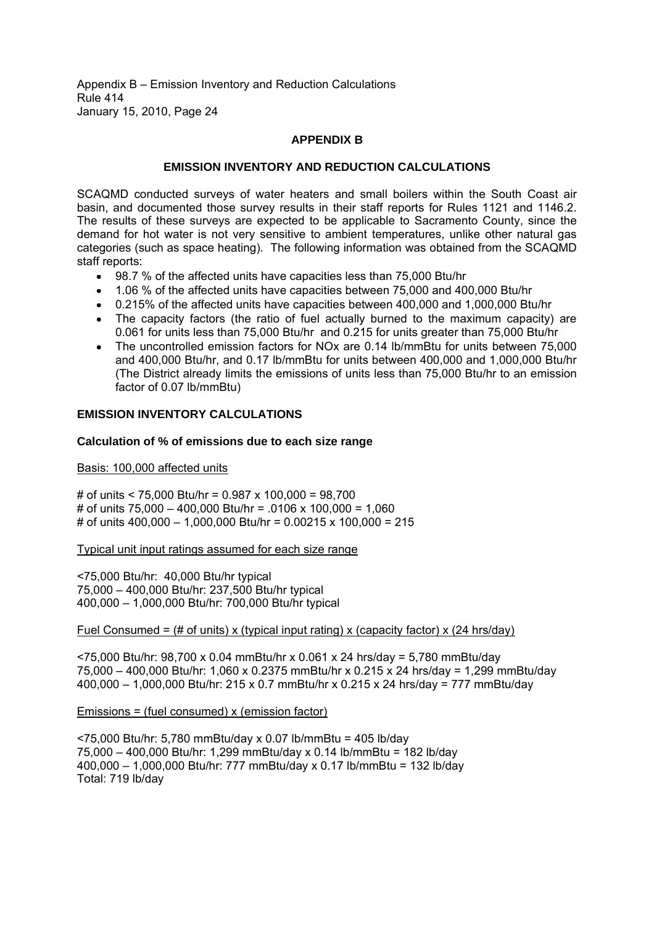Appendix B – Emission Inventory and Reduction Calculations Rule 414 January 15, 2010, Page 24

### **APPENDIX B**

#### **EMISSION INVENTORY AND REDUCTION CALCULATIONS**

SCAQMD conducted surveys of water heaters and small boilers within the South Coast air basin, and documented those survey results in their staff reports for Rules 1121 and 1146.2. The results of these surveys are expected to be applicable to Sacramento County, since the demand for hot water is not very sensitive to ambient temperatures, unlike other natural gas categories (such as space heating). The following information was obtained from the SCAQMD staff reports:

- 98.7 % of the affected units have capacities less than 75,000 Btu/hr
- 1.06 % of the affected units have capacities between 75,000 and 400,000 Btu/hr
- 0.215% of the affected units have capacities between 400,000 and 1,000,000 Btu/hr
- The capacity factors (the ratio of fuel actually burned to the maximum capacity) are 0.061 for units less than 75,000 Btu/hr and 0.215 for units greater than 75,000 Btu/hr
- The uncontrolled emission factors for NOx are 0.14 lb/mmBtu for units between 75,000 and 400,000 Btu/hr, and 0.17 lb/mmBtu for units between 400,000 and 1,000,000 Btu/hr (The District already limits the emissions of units less than 75,000 Btu/hr to an emission factor of 0.07 lb/mmBtu)

#### **EMISSION INVENTORY CALCULATIONS**

#### **Calculation of % of emissions due to each size range**

#### Basis: 100,000 affected units

# of units < 75,000 Btu/hr = 0.987 x 100,000 = 98,700 # of units 75,000 400,000 Btu/hr = .0106 x 100,000 = 1,060 # of units  $400,000 - 1,000,000$  Btu/hr = 0.00215 x 100,000 = 215

Typical unit input ratings assumed for each size range

<75,000 Btu/hr: 40,000 Btu/hr typical 75,000 400,000 Btu/hr: 237,500 Btu/hr typical 400,000 1,000,000 Btu/hr: 700,000 Btu/hr typical

#### Fuel Consumed = (# of units) x (typical input rating) x (capacity factor) x (24 hrs/day)

<75,000 Btu/hr: 98,700 x 0.04 mmBtu/hr x 0.061 x 24 hrs/day = 5,780 mmBtu/day 75,000 400,000 Btu/hr: 1,060 x 0.2375 mmBtu/hr x 0.215 x 24 hrs/day = 1,299 mmBtu/day 400,000 1,000,000 Btu/hr: 215 x 0.7 mmBtu/hr x 0.215 x 24 hrs/day = 777 mmBtu/day

Emissions = (fuel consumed) x (emission factor)

<75,000 Btu/hr: 5,780 mmBtu/day x 0.07 lb/mmBtu = 405 lb/day 75,000 400,000 Btu/hr: 1,299 mmBtu/day x 0.14 lb/mmBtu = 182 lb/day 400,000 1,000,000 Btu/hr: 777 mmBtu/day x 0.17 lb/mmBtu = 132 lb/day Total: 719 lb/day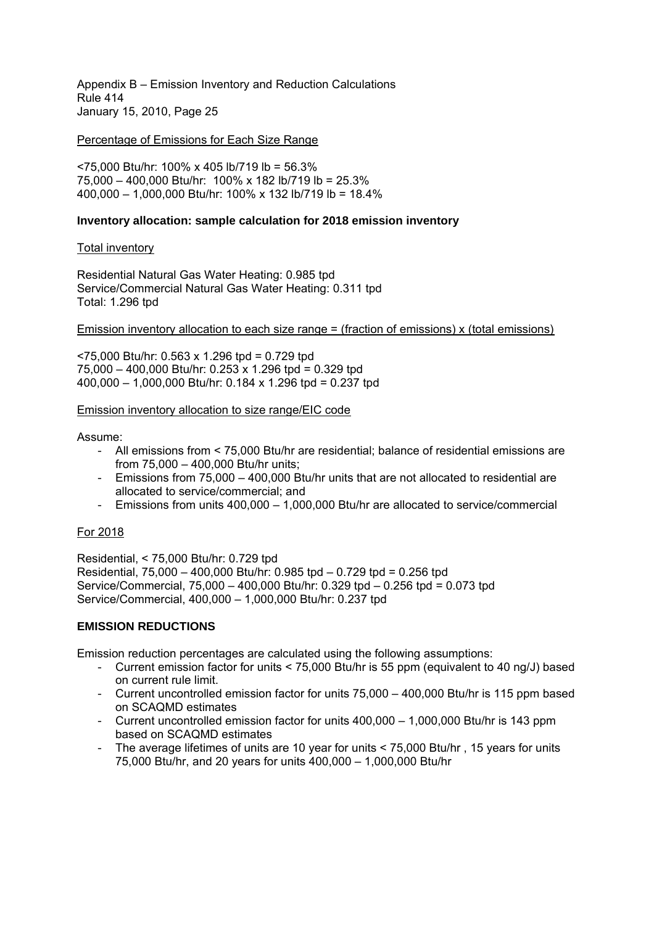Appendix B – Emission Inventory and Reduction Calculations Rule 414 January 15, 2010, Page 25

### Percentage of Emissions for Each Size Range

<75,000 Btu/hr: 100% x 405 lb/719 lb = 56.3% 75,000 400,000 Btu/hr: 100% x 182 lb/719 lb = 25.3% 400,000 1,000,000 Btu/hr: 100% x 132 lb/719 lb = 18.4%

### **Inventory allocation: sample calculation for 2018 emission inventory**

#### Total inventory

Residential Natural Gas Water Heating: 0.985 tpd Service/Commercial Natural Gas Water Heating: 0.311 tpd Total: 1.296 tpd

Emission inventory allocation to each size range  $=$  (fraction of emissions) x (total emissions)

<75,000 Btu/hr: 0.563 x 1.296 tpd = 0.729 tpd  $75,000 - 400,000$  Btu/hr: 0.253 x 1.296 tpd = 0.329 tpd 400,000 1,000,000 Btu/hr: 0.184 x 1.296 tpd = 0.237 tpd

#### Emission inventory allocation to size range/EIC code

#### Assume:

- All emissions from < 75,000 Btu/hr are residential; balance of residential emissions are from 75,000 - 400,000 Btu/hr units:
- Emissions from  $75.000 400.000$  Btu/hr units that are not allocated to residential are allocated to service/commercial; and
- Emissions from units  $400,000 1,000,000$  Btu/hr are allocated to service/commercial

# For 2018

Residential, < 75,000 Btu/hr: 0.729 tpd Residential,  $75,000 - 400,000$  Btu/hr: 0.985 tpd  $- 0.729$  tpd = 0.256 tpd Service/Commercial, 75,000 - 400,000 Btu/hr: 0.329 tpd - 0.256 tpd = 0.073 tpd Service/Commercial, 400,000 1,000,000 Btu/hr: 0.237 tpd

# **EMISSION REDUCTIONS**

Emission reduction percentages are calculated using the following assumptions:

- Current emission factor for units < 75,000 Btu/hr is 55 ppm (equivalent to 40 ng/J) based on current rule limit.
- Current uncontrolled emission factor for units  $75.000 400.000$  Btu/hr is 115 ppm based on SCAQMD estimates
- Current uncontrolled emission factor for units  $400.000 1.000.000$  Btu/hr is 143 ppm based on SCAQMD estimates
- The average lifetimes of units are 10 year for units < 75,000 Btu/hr , 15 years for units 75,000 Btu/hr, and 20 years for units 400,000 1,000,000 Btu/hr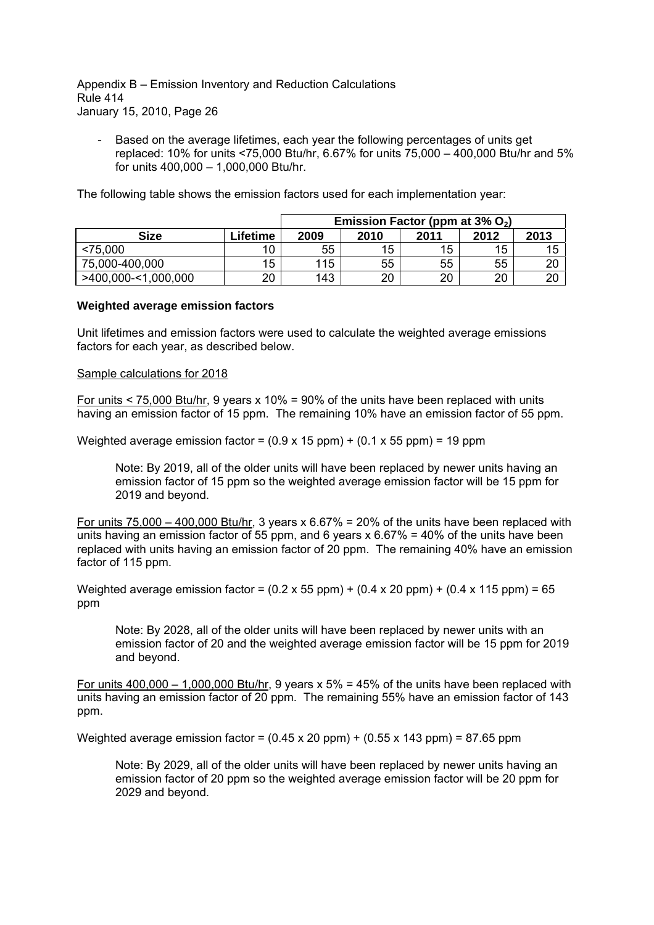Appendix B – Emission Inventory and Reduction Calculations Rule 414 January 15, 2010, Page 26

- Based on the average lifetimes, each year the following percentages of units get replaced: 10% for units <75,000 Btu/hr, 6.67% for units 75,000 400,000 Btu/hr and 5% for units  $400,000 - 1,000,000$  Btu/hr.

The following table shows the emission factors used for each implementation year:

|                     |          | Emission Factor (ppm at $3\%$ O <sub>2</sub> ) |      |      |      |          |
|---------------------|----------|------------------------------------------------|------|------|------|----------|
| <b>Size</b>         | Lifetime | 2009                                           | 2010 | 2011 | 2012 | 2013     |
| < 75,000            | 10       | 55                                             | 15   | 15   | 15   | 15       |
| 75,000-400,000      | 15       | 115                                            | 55   | 55   | 55   | ററ<br>zu |
| >400,000-<1,000,000 | 20       | 143                                            | 20   | 20   | 20   | 20       |

#### **Weighted average emission factors**

Unit lifetimes and emission factors were used to calculate the weighted average emissions factors for each year, as described below.

#### Sample calculations for 2018

For units < 75,000 Btu/hr, 9 years x 10% = 90% of the units have been replaced with units having an emission factor of 15 ppm. The remaining 10% have an emission factor of 55 ppm.

Weighted average emission factor =  $(0.9 \times 15 \text{ ppm}) + (0.1 \times 55 \text{ ppm}) = 19 \text{ ppm}$ 

Note: By 2019, all of the older units will have been replaced by newer units having an emission factor of 15 ppm so the weighted average emission factor will be 15 ppm for 2019 and beyond.

For units  $75,000 - 400,000$  Btu/hr, 3 years x 6.67% = 20% of the units have been replaced with units having an emission factor of 55 ppm, and 6 years  $x$  6.67% = 40% of the units have been replaced with units having an emission factor of 20 ppm. The remaining 40% have an emission factor of 115 ppm.

Weighted average emission factor =  $(0.2 \times 55 \text{ ppm}) + (0.4 \times 20 \text{ ppm}) + (0.4 \times 115 \text{ ppm}) = 65$ ppm

Note: By 2028, all of the older units will have been replaced by newer units with an emission factor of 20 and the weighted average emission factor will be 15 ppm for 2019 and beyond.

For units  $400,000 - 1,000,000$  Btu/hr, 9 years x 5% = 45% of the units have been replaced with units having an emission factor of 20 ppm. The remaining 55% have an emission factor of 143 ppm.

Weighted average emission factor =  $(0.45 \times 20 \text{ ppm}) + (0.55 \times 143 \text{ ppm}) = 87.65 \text{ ppm}$ 

Note: By 2029, all of the older units will have been replaced by newer units having an emission factor of 20 ppm so the weighted average emission factor will be 20 ppm for 2029 and beyond.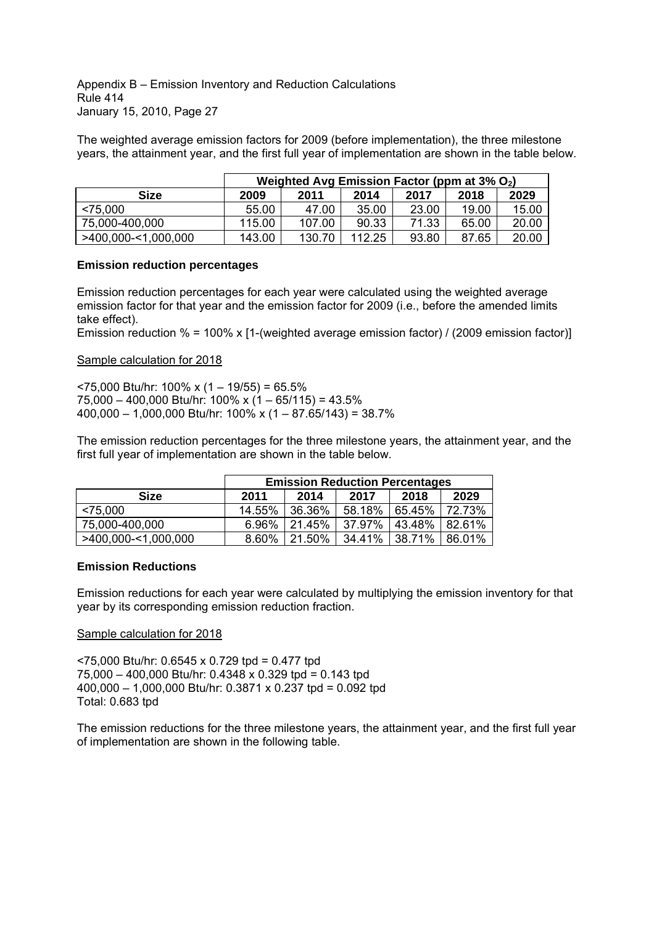Appendix B - Emission Inventory and Reduction Calculations Rule 414 January 15, 2010, Page 27

The weighted average emission factors for 2009 (before implementation), the three milestone years, the attainment year, and the first full year of implementation are shown in the table below.

|                     | Weighted Avg Emission Factor (ppm at $3\%$ O <sub>2</sub> ) |        |        |       |       |       |  |
|---------------------|-------------------------------------------------------------|--------|--------|-------|-------|-------|--|
| Size                | 2009                                                        | 2011   | 2014   | 2017  | 2018  | 2029  |  |
| < 75.000            | 55.00                                                       | 47.00  | 35.00  | 23.00 | 19.00 | 15.00 |  |
| 75,000-400,000      | 115.00                                                      | 107.00 | 90.33  | 71.33 | 65.00 | 20.00 |  |
| >400,000-<1,000,000 | 143.00                                                      | 130.70 | 112.25 | 93.80 | 87.65 | 20.00 |  |

#### **Emission reduction percentages**

Emission reduction percentages for each year were calculated using the weighted average emission factor for that year and the emission factor for 2009 (i.e., before the amended limits take effect).

Emission reduction % = 100% x [1-(weighted average emission factor) / (2009 emission factor)]

### Sample calculation for 2018

 $5000$  Btu/hr: 100% x (1 - 19/55) = 65.5%  $75,000 - 400,000$  Btu/hr: 100% x (1 - 65/115) = 43.5%  $400,000 - 1,000,000$  Btu/hr:  $100\%$  x  $(1 - 87.65/143) = 38.7\%$ 

The emission reduction percentages for the three milestone years, the attainment year, and the first full year of implementation are shown in the table below.

|                     | <b>Emission Reduction Percentages</b> |        |        |        |        |  |
|---------------------|---------------------------------------|--------|--------|--------|--------|--|
| <b>Size</b>         | 2011                                  | 2014   | 2017   | 2018   | 2029   |  |
| < 75,000            | 14.55%                                | 36.36% | 58.18% | 65.45% | 72.73% |  |
| 75,000-400,000      | 6.96%                                 | 21.45% | 37.97% | 43.48% | 82.61% |  |
| >400,000-<1,000,000 | 8.60%                                 | 21.50% | 34.41% | 38.71% | 86.01% |  |

# **Emission Reductions**

Emission reductions for each year were calculated by multiplying the emission inventory for that year by its corresponding emission reduction fraction.

# Sample calculation for 2018

<75,000 Btu/hr: 0.6545 x 0.729 tpd = 0.477 tpd 75,000 400,000 Btu/hr: 0.4348 x 0.329 tpd = 0.143 tpd 400,000 1,000,000 Btu/hr: 0.3871 x 0.237 tpd = 0.092 tpd Total: 0.683 tpd

The emission reductions for the three milestone years, the attainment year, and the first full year of implementation are shown in the following table.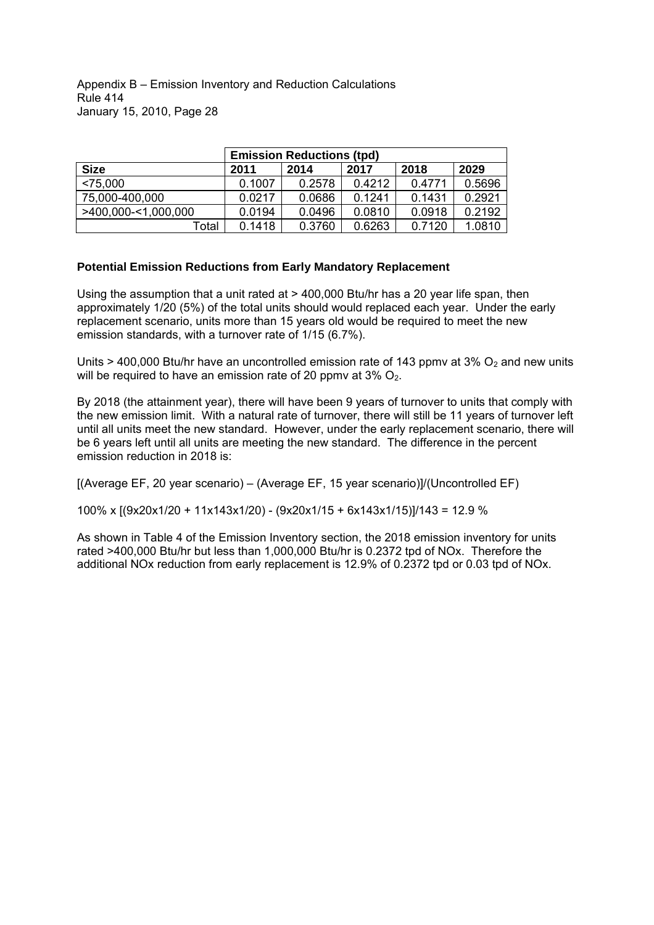Appendix B - Emission Inventory and Reduction Calculations Rule 414 January 15, 2010, Page 28

|                     | <b>Emission Reductions (tpd)</b> |        |        |        |        |  |  |
|---------------------|----------------------------------|--------|--------|--------|--------|--|--|
| <b>Size</b>         | 2011                             | 2014   | 2017   | 2018   | 2029   |  |  |
| < 75.000            | 0.1007                           | 0.2578 | 0.4212 | 0.4771 | 0.5696 |  |  |
| 75,000-400,000      | 0.0217                           | 0.0686 | 0.1241 | 0.1431 | 0.2921 |  |  |
| >400,000-<1,000,000 | 0.0194                           | 0.0496 | 0.0810 | 0.0918 | 0.2192 |  |  |
| Total               | 0.1418                           | 0.3760 | 0.6263 | 0.7120 | 1.0810 |  |  |

### **Potential Emission Reductions from Early Mandatory Replacement**

Using the assumption that a unit rated at > 400,000 Btu/hr has a 20 year life span, then approximately 1/20 (5%) of the total units should would replaced each year. Under the early replacement scenario, units more than 15 years old would be required to meet the new emission standards, with a turnover rate of 1/15 (6.7%).

Units > 400,000 Btu/hr have an uncontrolled emission rate of 143 ppmv at 3%  $O<sub>2</sub>$  and new units will be required to have an emission rate of 20 ppmv at  $3\%$  O<sub>2</sub>.

By 2018 (the attainment year), there will have been 9 years of turnover to units that comply with the new emission limit. With a natural rate of turnover, there will still be 11 years of turnover left until all units meet the new standard. However, under the early replacement scenario, there will be 6 years left until all units are meeting the new standard. The difference in the percent emission reduction in 2018 is:

 $[(A \vee B) \vee (A \vee C)]$  (Average EF, 15 year scenario)]/(Uncontrolled EF)

100% x [(9x20x1/20 + 11x143x1/20) - (9x20x1/15 + 6x143x1/15)]/143 = 12.9 %

As shown in Table 4 of the Emission Inventory section, the 2018 emission inventory for units rated >400,000 Btu/hr but less than 1,000,000 Btu/hr is 0.2372 tpd of NOx. Therefore the additional NOx reduction from early replacement is 12.9% of 0.2372 tpd or 0.03 tpd of NOx.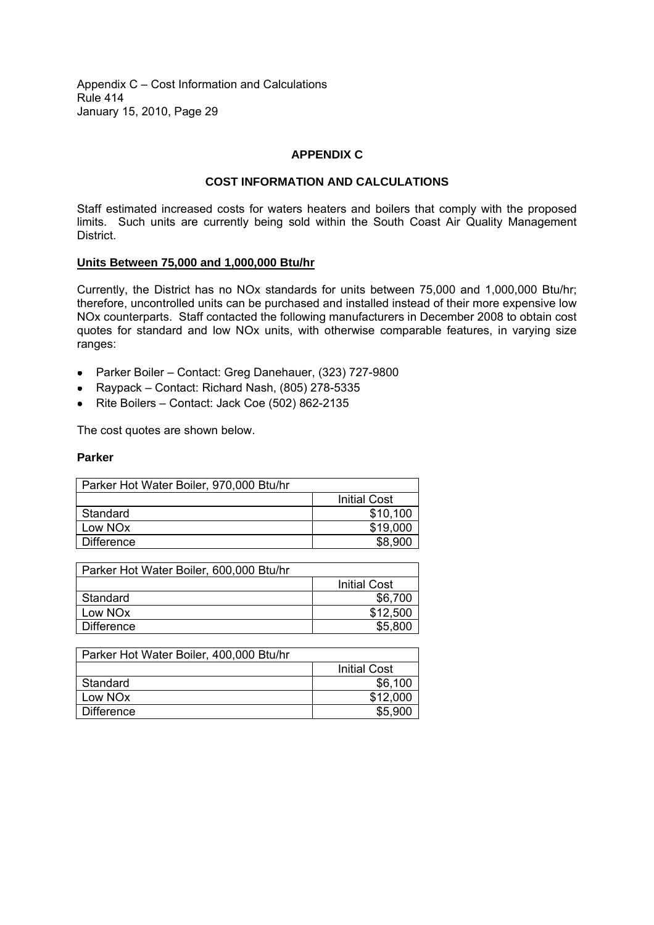### **APPENDIX C**

### **COST INFORMATION AND CALCULATIONS**

Staff estimated increased costs for waters heaters and boilers that comply with the proposed limits. Such units are currently being sold within the South Coast Air Quality Management District.

#### **Units Between 75,000 and 1,000,000 Btu/hr**

Currently, the District has no NOx standards for units between 75,000 and 1,000,000 Btu/hr; therefore, uncontrolled units can be purchased and installed instead of their more expensive low NOx counterparts. Staff contacted the following manufacturers in December 2008 to obtain cost quotes for standard and low NOx units, with otherwise comparable features, in varying size ranges:

- Parker Boiler Contact: Greg Danehauer, (323) 727-9800
- Raypack Contact: Richard Nash, (805) 278-5335
- Rite Boilers Contact: Jack Coe (502) 862-2135

The cost quotes are shown below.

#### **Parker**

| Parker Hot Water Boiler, 970,000 Btu/hr |                     |
|-----------------------------------------|---------------------|
|                                         | <b>Initial Cost</b> |
| Standard                                | \$10,100            |
| Low NO <sub>x</sub>                     | \$19,000            |
| <b>Difference</b>                       | \$8,900             |

| Parker Hot Water Boiler, 600,000 Btu/hr |                     |
|-----------------------------------------|---------------------|
|                                         | <b>Initial Cost</b> |
| Standard                                | \$6,700             |
| Low NO <sub>x</sub>                     | \$12,500            |
| <b>Difference</b>                       | \$5,800             |
|                                         |                     |

| Parker Hot Water Boiler, 400,000 Btu/hr |                     |
|-----------------------------------------|---------------------|
|                                         | <b>Initial Cost</b> |
| Standard                                | \$6,100             |
| Low NO <sub>x</sub>                     | \$12,000            |
| <b>Difference</b>                       | \$5,900             |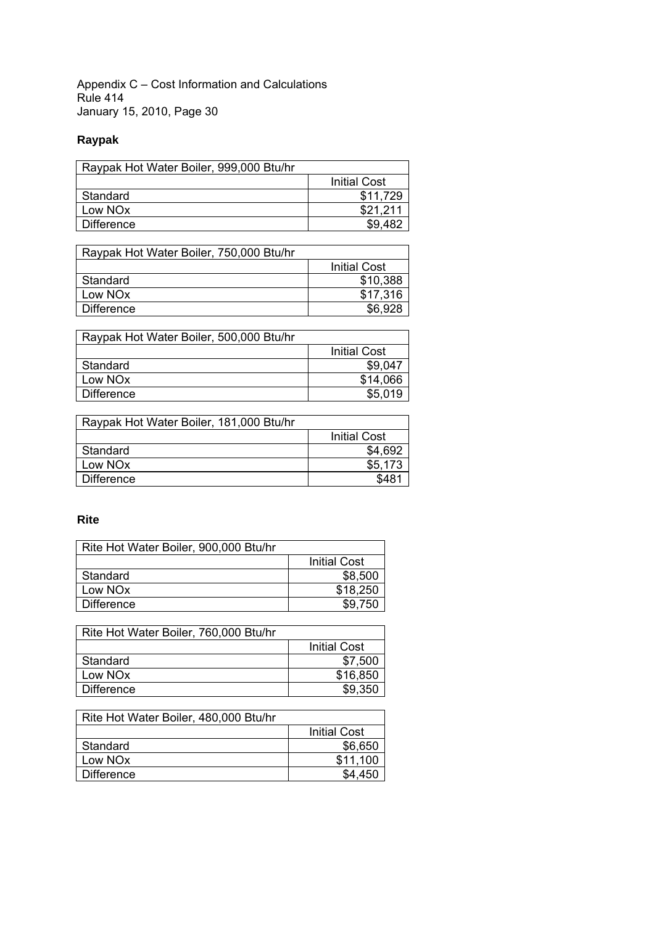# **Raypak**

| Raypak Hot Water Boiler, 999,000 Btu/hr |                     |
|-----------------------------------------|---------------------|
|                                         | <b>Initial Cost</b> |
| Standard                                | \$11.729            |
| Low NO <sub>x</sub>                     | \$21.211            |
| <b>Difference</b>                       | \$9.482             |

| Raypak Hot Water Boiler, 750,000 Btu/hr |                     |
|-----------------------------------------|---------------------|
|                                         | <b>Initial Cost</b> |
| Standard                                | \$10,388            |
| Low NOx                                 | \$17,316            |
| Difference                              | \$6,928             |

| Raypak Hot Water Boiler, 500,000 Btu/hr |                     |
|-----------------------------------------|---------------------|
|                                         | <b>Initial Cost</b> |
| Standard                                | \$9,047             |
| Low NOx                                 | \$14,066            |
| <b>Difference</b>                       | \$5,019             |

| Raypak Hot Water Boiler, 181,000 Btu/hr |                     |
|-----------------------------------------|---------------------|
|                                         | <b>Initial Cost</b> |
| Standard                                | \$4,692             |
| Low NO <sub>x</sub>                     | \$5,173             |
| <b>Difference</b>                       | \$481               |

# **Rite**

| Rite Hot Water Boiler, 900,000 Btu/hr |                     |
|---------------------------------------|---------------------|
|                                       | <b>Initial Cost</b> |
| Standard                              | \$8,500             |
| Low NOx                               | \$18,250            |
| <b>Difference</b>                     | \$9,750             |

| Rite Hot Water Boiler, 760,000 Btu/hr |                     |
|---------------------------------------|---------------------|
|                                       | <b>Initial Cost</b> |
| Standard                              | \$7,500             |
| Low NO <sub>x</sub>                   | \$16,850            |
| <b>Difference</b>                     | \$9,350             |

| Rite Hot Water Boiler, 480,000 Btu/hr |                     |
|---------------------------------------|---------------------|
|                                       | <b>Initial Cost</b> |
| Standard                              | \$6,650             |
| Low NO <sub>x</sub>                   | \$11,100            |
| <b>Difference</b>                     | \$4.450             |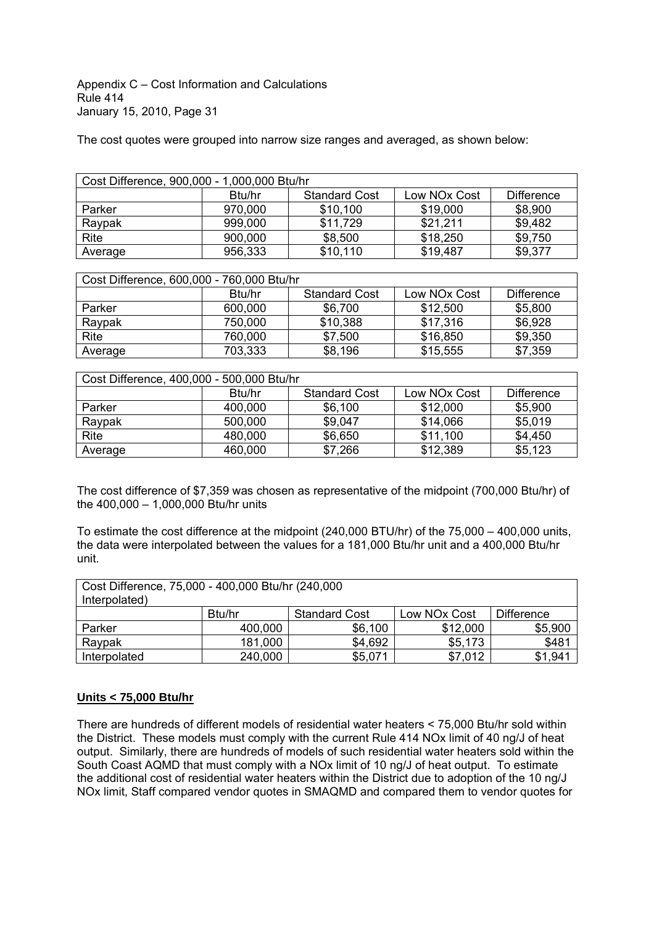The cost quotes were grouped into narrow size ranges and averaged, as shown below:

| Cost Difference, 900,000 - 1,000,000 Btu/hr |                    |                      |                          |                   |
|---------------------------------------------|--------------------|----------------------|--------------------------|-------------------|
|                                             | B <sub>tu/hr</sub> | <b>Standard Cost</b> | Low NO <sub>x</sub> Cost | <b>Difference</b> |
| Parker                                      | 970,000            | \$10,100             | \$19,000                 | \$8,900           |
| Raypak                                      | 999,000            | \$11,729             | \$21,211                 | \$9,482           |
| Rite                                        | 900,000            | \$8,500              | \$18,250                 | \$9,750           |
| Average                                     | 956,333            | \$10,110             | \$19,487                 | \$9,377           |

| Cost Difference, 600,000 - 760,000 Btu/hr |                    |                      |              |                   |
|-------------------------------------------|--------------------|----------------------|--------------|-------------------|
|                                           | B <sub>tu/hr</sub> | <b>Standard Cost</b> | Low NOx Cost | <b>Difference</b> |
| Parker                                    | 600,000            | \$6,700              | \$12,500     | \$5,800           |
| Raypak                                    | 750,000            | \$10,388             | \$17,316     | \$6,928           |
| Rite                                      | 760,000            | \$7,500              | \$16,850     | \$9,350           |
| Average                                   | 703,333            | \$8,196              | \$15,555     | \$7,359           |

| Cost Difference, 400,000 - 500,000 Btu/hr |                    |                      |              |                   |
|-------------------------------------------|--------------------|----------------------|--------------|-------------------|
|                                           | B <sub>tu/hr</sub> | <b>Standard Cost</b> | Low NOx Cost | <b>Difference</b> |
| Parker                                    | 400,000            | \$6,100              | \$12,000     | \$5,900           |
| Raypak                                    | 500,000            | \$9,047              | \$14,066     | \$5,019           |
| Rite                                      | 480,000            | \$6,650              | \$11,100     | \$4,450           |
| Average                                   | 460,000            | \$7,266              | \$12,389     | \$5,123           |

The cost difference of \$7,359 was chosen as representative of the midpoint (700,000 Btu/hr) of the  $400,000 - 1,000,000$  Btu/hr units

To estimate the cost difference at the midpoint (240,000 BTU/hr) of the 75,000 - 400,000 units, the data were interpolated between the values for a 181,000 Btu/hr unit and a 400,000 Btu/hr unit.

| Cost Difference, 75,000 - 400,000 Btu/hr (240,000<br>Interpolated) |         |                      |              |                   |
|--------------------------------------------------------------------|---------|----------------------|--------------|-------------------|
|                                                                    | Btu/hr  | <b>Standard Cost</b> | Low NOx Cost | <b>Difference</b> |
| Parker                                                             | 400,000 | \$6,100              | \$12,000     | \$5,900           |
| Raypak                                                             | 181,000 | \$4,692              | \$5,173      | \$481             |
| Interpolated                                                       | 240,000 | \$5,071              | \$7,012      | \$1,941           |

# **Units < 75,000 Btu/hr**

There are hundreds of different models of residential water heaters < 75,000 Btu/hr sold within the District. These models must comply with the current Rule 414 NOx limit of 40 ng/J of heat output. Similarly, there are hundreds of models of such residential water heaters sold within the South Coast AQMD that must comply with a NOx limit of 10 ng/J of heat output. To estimate the additional cost of residential water heaters within the District due to adoption of the 10 ng/J NOx limit, Staff compared vendor quotes in SMAQMD and compared them to vendor quotes for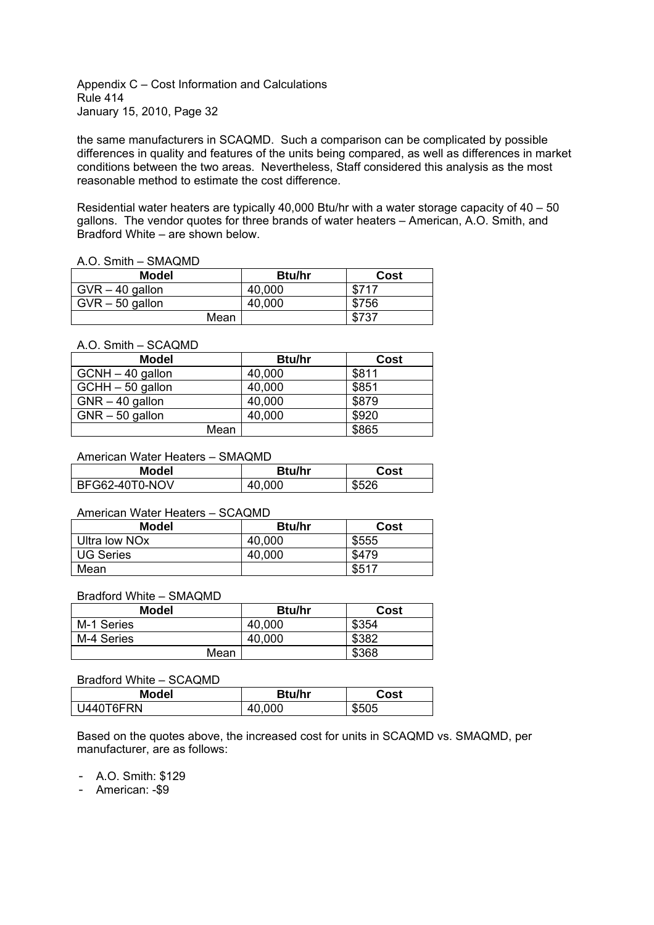the same manufacturers in SCAQMD. Such a comparison can be complicated by possible differences in quality and features of the units being compared, as well as differences in market conditions between the two areas. Nevertheless, Staff considered this analysis as the most reasonable method to estimate the cost difference.

Residential water heaters are typically 40,000 Btu/hr with a water storage capacity of  $40 - 50$ gallons. The vendor quotes for three brands of water heaters - American, A.O. Smith, and Bradford White - are shown below.

#### A.O. Smith - SMAQMD

| <b>Model</b>      | <b>Btu/hr</b> | Cost  |
|-------------------|---------------|-------|
| $GVR - 40$ gallon | 40,000        | \$717 |
| $GVR - 50$ gallon | 40,000        | \$756 |
| Mean              |               | \$737 |

#### A.O. Smith - SCAQMD

| <b>Model</b>      | <b>Btu/hr</b> | Cost  |
|-------------------|---------------|-------|
| GCNH - 40 gallon  | 40,000        | \$811 |
| GCHH - 50 gallon  | 40,000        | \$851 |
| $GNR - 40$ gallon | 40,000        | \$879 |
| $GNR - 50$ gallon | 40,000        | \$920 |
| Mean              |               | \$865 |

#### American Water Heaters - SMAOMD

| <b>Model</b>   | <b>Btu/hr</b> | Cost  |
|----------------|---------------|-------|
| BFG62-40T0-NOV | 40,000        | \$526 |

#### American Water Heaters - SCAQMD

| <b>Model</b>              | <b>Btu/hr</b> | Cost  |
|---------------------------|---------------|-------|
| Ultra low NO <sub>x</sub> | 40,000        | \$555 |
| <b>UG Series</b>          | 40,000        | \$479 |
| Mean                      |               | \$517 |

#### Bradford White - SMAQMD

| <b>Model</b> | <b>Btu/hr</b> | Cost  |
|--------------|---------------|-------|
| M-1 Series   | 40,000        | \$354 |
| M-4 Series   | 40,000        | \$382 |
| Mean         |               | \$368 |

#### Bradford White - SCAQMD

| <b>Model</b> | <b>Btu/hr</b> | Cost  |
|--------------|---------------|-------|
| U440T6FRN    | 40,000        | \$505 |

Based on the quotes above, the increased cost for units in SCAQMD vs. SMAQMD, per manufacturer, are as follows:

- A.O. Smith: \$129

- American: -\$9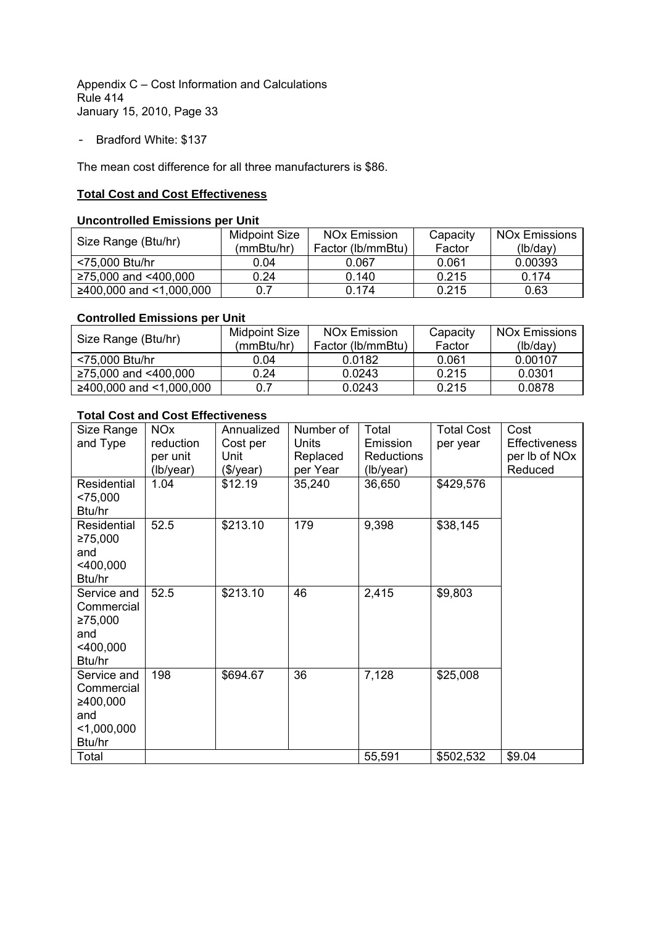- Bradford White: \$137

The mean cost difference for all three manufacturers is \$86.

### **Total Cost and Cost Effectiveness**

### **Uncontrolled Emissions per Unit**

| Size Range (Btu/hr)         | Midpoint Size<br>(mmBtu/hr) | <b>NO<sub>x</sub></b> Emission<br>Factor (lb/mmBtu) | Capacity<br>Factor | <b>NOx Emissions</b><br>(lb/day) |
|-----------------------------|-----------------------------|-----------------------------------------------------|--------------------|----------------------------------|
| <75,000 Btu/hr              | 0.04                        | 0.067                                               | 0.061              | 0.00393                          |
| $≥75,000$ and $<400,000$    | 0.24                        | 0.140                                               | 0.215              | 0.174                            |
| $≥400,000$ and $<1,000,000$ | 0.7                         | 0.174                                               | 0.215              | 0.63                             |

#### **Controlled Emissions per Unit**

| Size Range (Btu/hr)       | Midpoint Size | <b>NO<sub>x</sub></b> Emission | Capacity | <b>NOx Emissions</b> |
|---------------------------|---------------|--------------------------------|----------|----------------------|
|                           | (mmBtu/hr)    | Factor (lb/mmBtu)              | Factor   | (lb/day)             |
| <75,000 Btu/hr            | 0.04          | 0.0182                         | 0.061    | 0.00107              |
| $≥75,000$ and $<400,000$  | 0.24          | 0.0243                         | 0.215    | 0.0301               |
| $≥400,000$ and <1,000,000 | 0.7           | 0.0243                         | 0.215    | 0.0878               |

# **Total Cost and Cost Effectiveness**

| Size Range<br>and Type                                                  | <b>NO<sub>x</sub></b><br>reduction<br>per unit<br>(lb/year) | Annualized<br>Cost per<br>Unit<br>(\$/year) | Number of<br><b>Units</b><br>Replaced<br>per Year | Total<br>Emission<br><b>Reductions</b><br>(lb/year) | <b>Total Cost</b><br>per year | Cost<br>Effectiveness<br>per lb of NO <sub>x</sub><br>Reduced |
|-------------------------------------------------------------------------|-------------------------------------------------------------|---------------------------------------------|---------------------------------------------------|-----------------------------------------------------|-------------------------------|---------------------------------------------------------------|
| Residential<br>< 75,000<br>Btu/hr                                       | 1.04                                                        | \$12.19                                     | 35,240                                            | 36,650                                              | \$429,576                     |                                                               |
| Residential<br>≥75,000<br>and<br>$<$ 400,000<br>Btu/hr                  | 52.5                                                        | \$213.10                                    | 179                                               | 9,398                                               | \$38,145                      |                                                               |
| Service and<br>Commercial<br>≥75,000<br>and<br>$<$ 400,000<br>Btu/hr    | 52.5                                                        | \$213.10                                    | 46                                                | 2,415                                               | \$9,803                       |                                                               |
| Service and<br>Commercial<br>≥400,000<br>and<br>$<$ 1,000,000<br>Btu/hr | 198                                                         | \$694.67                                    | 36                                                | 7,128                                               | \$25,008                      |                                                               |
| Total                                                                   |                                                             |                                             |                                                   | 55,591                                              | \$502,532                     | \$9.04                                                        |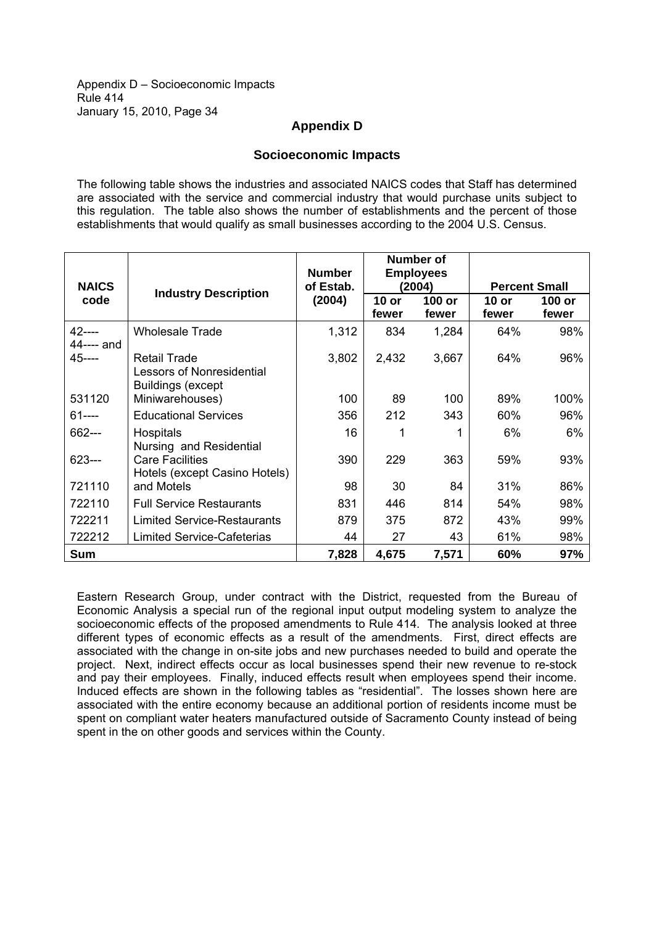Appendix D - Socioeconomic Impacts Rule 414 January 15, 2010, Page 34

# **Appendix D**

### **Socioeconomic Impacts**

The following table shows the industries and associated NAICS codes that Staff has determined are associated with the service and commercial industry that would purchase units subject to this regulation. The table also shows the number of establishments and the percent of those establishments that would qualify as small businesses according to the 2004 U.S. Census.

|                         |                                                                                     | <b>Number</b> | Number of<br><b>Employees</b> |                 |                      |                 |
|-------------------------|-------------------------------------------------------------------------------------|---------------|-------------------------------|-----------------|----------------------|-----------------|
| <b>NAICS</b>            | <b>Industry Description</b>                                                         | of Estab.     |                               | (2004)          | <b>Percent Small</b> |                 |
| code                    |                                                                                     | (2004)        | $10$ or<br>fewer              | 100 or<br>fewer | 10 or<br>fewer       | 100 or<br>fewer |
| $42$ ----<br>44---- and | <b>Wholesale Trade</b>                                                              | 1,312         | 834                           | 1,284           | 64%                  | 98%             |
| $45--$                  | <b>Retail Trade</b><br><b>Lessors of Nonresidential</b><br><b>Buildings (except</b> | 3,802         | 2,432                         | 3,667           | 64%                  | 96%             |
| 531120                  | Miniwarehouses)                                                                     | 100           | 89                            | 100             | 89%                  | 100%            |
| 61----                  | <b>Educational Services</b>                                                         | 356           | 212                           | 343             | 60%                  | 96%             |
| 662---                  | <b>Hospitals</b><br>Nursing and Residential                                         | 16            |                               |                 | 6%                   | 6%              |
| 623---                  | <b>Care Facilities</b><br>Hotels (except Casino Hotels)                             | 390           | 229                           | 363             | 59%                  | 93%             |
| 721110                  | and Motels                                                                          | 98            | 30                            | 84              | 31%                  | 86%             |
| 722110                  | <b>Full Service Restaurants</b>                                                     | 831           | 446                           | 814             | 54%                  | 98%             |
| 722211                  | <b>Limited Service-Restaurants</b>                                                  | 879           | 375                           | 872             | 43%                  | 99%             |
| 722212                  | <b>Limited Service-Cafeterias</b>                                                   | 44            | 27                            | 43              | 61%                  | 98%             |
| Sum                     |                                                                                     | 7,828         | 4,675                         | 7,571           | 60%                  | 97%             |

Eastern Research Group, under contract with the District, requested from the Bureau of Economic Analysis a special run of the regional input output modeling system to analyze the socioeconomic effects of the proposed amendments to Rule 414. The analysis looked at three different types of economic effects as a result of the amendments. First, direct effects are associated with the change in on-site jobs and new purchases needed to build and operate the project. Next, indirect effects occur as local businesses spend their new revenue to re-stock and pay their employees. Finally, induced effects result when employees spend their income. Induced effects are shown in the following tables as "residential". The losses shown here are associated with the entire economy because an additional portion of residents income must be spent on compliant water heaters manufactured outside of Sacramento County instead of being spent in the on other goods and services within the County.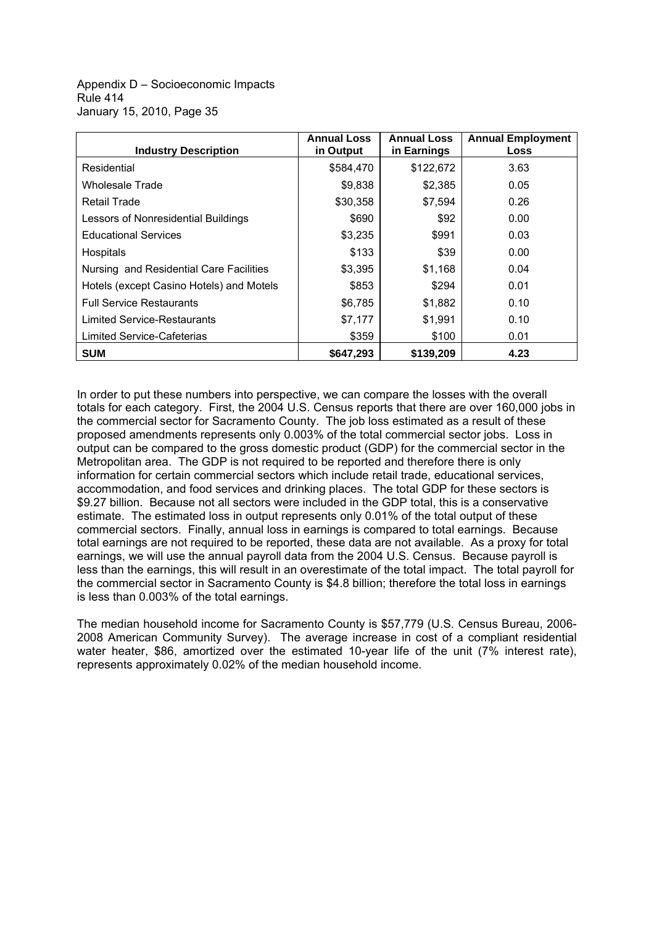Appendix D - Socioeconomic Impacts Rule 414 January 15, 2010, Page 35

| <b>Industry Description</b>              | <b>Annual Loss</b><br>in Output | <b>Annual Loss</b><br>in Earnings | <b>Annual Employment</b><br>Loss |
|------------------------------------------|---------------------------------|-----------------------------------|----------------------------------|
| Residential                              | \$584,470                       | \$122,672                         | 3.63                             |
| Wholesale Trade                          | \$9,838                         | \$2,385                           | 0.05                             |
| Retail Trade                             | \$30,358                        | \$7,594                           | 0.26                             |
| Lessors of Nonresidential Buildings      | \$690                           | \$92                              | 0.00                             |
| <b>Educational Services</b>              | \$3,235                         | \$991                             | 0.03                             |
| Hospitals                                | \$133                           | \$39                              | 0.00                             |
| Nursing and Residential Care Facilities  | \$3,395                         | \$1,168                           | 0.04                             |
| Hotels (except Casino Hotels) and Motels | \$853                           | \$294                             | 0.01                             |
| <b>Full Service Restaurants</b>          | \$6,785                         | \$1,882                           | 0.10                             |
| <b>Limited Service-Restaurants</b>       | \$7,177                         | \$1,991                           | 0.10                             |
| Limited Service-Cafeterias               | \$359                           | \$100                             | 0.01                             |
| <b>SUM</b>                               | \$647,293                       | \$139,209                         | 4.23                             |

In order to put these numbers into perspective, we can compare the losses with the overall totals for each category. First, the 2004 U.S. Census reports that there are over 160,000 jobs in the commercial sector for Sacramento County. The job loss estimated as a result of these proposed amendments represents only 0.003% of the total commercial sector jobs. Loss in output can be compared to the gross domestic product (GDP) for the commercial sector in the Metropolitan area. The GDP is not required to be reported and therefore there is only information for certain commercial sectors which include retail trade, educational services, accommodation, and food services and drinking places. The total GDP for these sectors is \$9.27 billion. Because not all sectors were included in the GDP total, this is a conservative estimate. The estimated loss in output represents only 0.01% of the total output of these commercial sectors. Finally, annual loss in earnings is compared to total earnings. Because total earnings are not required to be reported, these data are not available. As a proxy for total earnings, we will use the annual payroll data from the 2004 U.S. Census. Because payroll is less than the earnings, this will result in an overestimate of the total impact. The total payroll for the commercial sector in Sacramento County is \$4.8 billion; therefore the total loss in earnings is less than 0.003% of the total earnings.

The median household income for Sacramento County is \$57,779 (U.S. Census Bureau, 2006- 2008 American Community Survey). The average increase in cost of a compliant residential water heater, \$86, amortized over the estimated 10-year life of the unit (7% interest rate), represents approximately 0.02% of the median household income.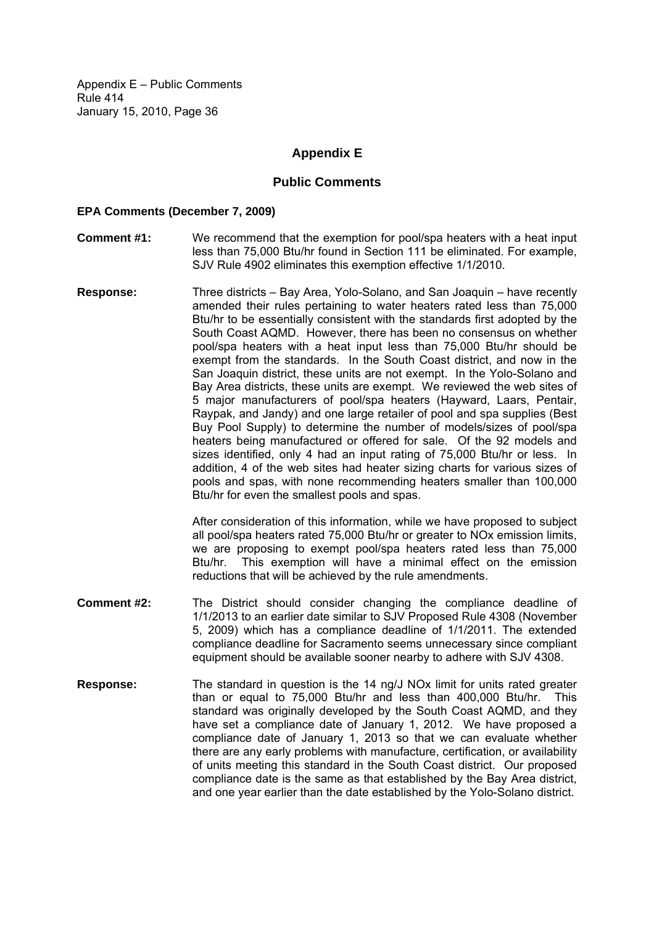# **Appendix E**

### **Public Comments**

#### **EPA Comments (December 7, 2009)**

- **Comment #1:** We recommend that the exemption for pool/spa heaters with a heat input less than 75,000 Btu/hr found in Section 111 be eliminated. For example, SJV Rule 4902 eliminates this exemption effective 1/1/2010.
- **Response:** Three districts Bay Area, Yolo-Solano, and San Joaquin have recently amended their rules pertaining to water heaters rated less than 75,000 Btu/hr to be essentially consistent with the standards first adopted by the South Coast AQMD. However, there has been no consensus on whether pool/spa heaters with a heat input less than 75,000 Btu/hr should be exempt from the standards. In the South Coast district, and now in the San Joaquin district, these units are not exempt. In the Yolo-Solano and Bay Area districts, these units are exempt. We reviewed the web sites of 5 major manufacturers of pool/spa heaters (Hayward, Laars, Pentair, Raypak, and Jandy) and one large retailer of pool and spa supplies (Best Buy Pool Supply) to determine the number of models/sizes of pool/spa heaters being manufactured or offered for sale. Of the 92 models and sizes identified, only 4 had an input rating of 75,000 Btu/hr or less. In addition, 4 of the web sites had heater sizing charts for various sizes of pools and spas, with none recommending heaters smaller than 100,000 Btu/hr for even the smallest pools and spas.

After consideration of this information, while we have proposed to subject all pool/spa heaters rated 75,000 Btu/hr or greater to NOx emission limits, we are proposing to exempt pool/spa heaters rated less than 75,000 Btu/hr. This exemption will have a minimal effect on the emission reductions that will be achieved by the rule amendments.

- **Comment #2:** The District should consider changing the compliance deadline of 1/1/2013 to an earlier date similar to SJV Proposed Rule 4308 (November 5, 2009) which has a compliance deadline of 1/1/2011. The extended compliance deadline for Sacramento seems unnecessary since compliant equipment should be available sooner nearby to adhere with SJV 4308.
- **Response:** The standard in question is the 14 ng/J NOx limit for units rated greater than or equal to 75,000 Btu/hr and less than 400,000 Btu/hr. This standard was originally developed by the South Coast AQMD, and they have set a compliance date of January 1, 2012. We have proposed a compliance date of January 1, 2013 so that we can evaluate whether there are any early problems with manufacture, certification, or availability of units meeting this standard in the South Coast district. Our proposed compliance date is the same as that established by the Bay Area district, and one year earlier than the date established by the Yolo-Solano district.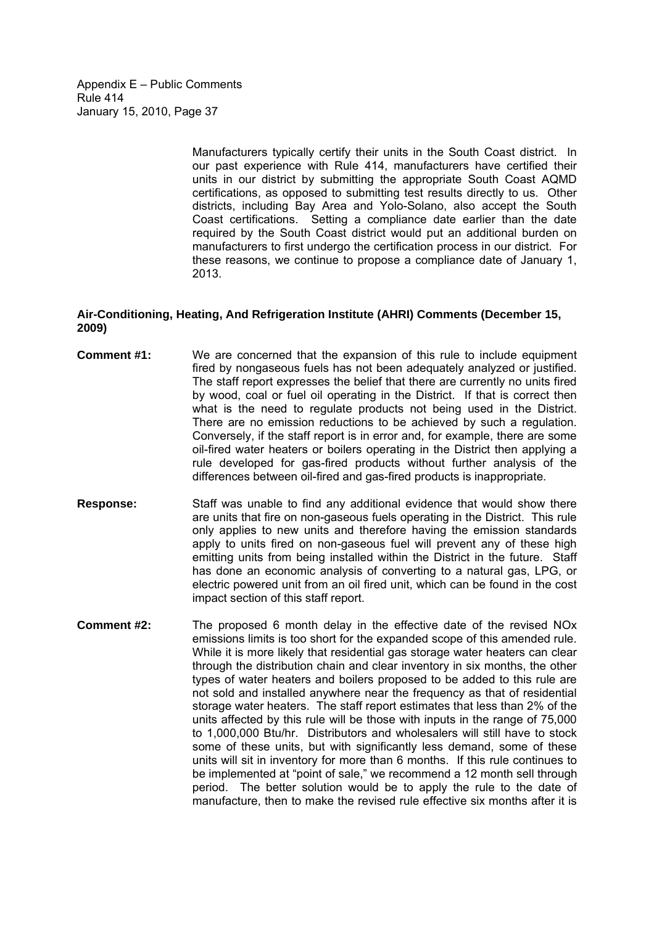> Manufacturers typically certify their units in the South Coast district. In our past experience with Rule 414, manufacturers have certified their units in our district by submitting the appropriate South Coast AQMD certifications, as opposed to submitting test results directly to us. Other districts, including Bay Area and Yolo-Solano, also accept the South Coast certifications. Setting a compliance date earlier than the date required by the South Coast district would put an additional burden on manufacturers to first undergo the certification process in our district. For these reasons, we continue to propose a compliance date of January 1, 2013.

#### **Air-Conditioning, Heating, And Refrigeration Institute (AHRI) Comments (December 15, 2009)**

- **Comment #1:** We are concerned that the expansion of this rule to include equipment fired by nongaseous fuels has not been adequately analyzed or justified. The staff report expresses the belief that there are currently no units fired by wood, coal or fuel oil operating in the District. If that is correct then what is the need to regulate products not being used in the District. There are no emission reductions to be achieved by such a regulation. Conversely, if the staff report is in error and, for example, there are some oil-fired water heaters or boilers operating in the District then applying a rule developed for gas-fired products without further analysis of the differences between oil-fired and gas-fired products is inappropriate.
- **Response:** Staff was unable to find any additional evidence that would show there are units that fire on non-gaseous fuels operating in the District. This rule only applies to new units and therefore having the emission standards apply to units fired on non-gaseous fuel will prevent any of these high emitting units from being installed within the District in the future. Staff has done an economic analysis of converting to a natural gas, LPG, or electric powered unit from an oil fired unit, which can be found in the cost impact section of this staff report.
- **Comment #2:** The proposed 6 month delay in the effective date of the revised NOx emissions limits is too short for the expanded scope of this amended rule. While it is more likely that residential gas storage water heaters can clear through the distribution chain and clear inventory in six months, the other types of water heaters and boilers proposed to be added to this rule are not sold and installed anywhere near the frequency as that of residential storage water heaters. The staff report estimates that less than 2% of the units affected by this rule will be those with inputs in the range of 75,000 to 1,000,000 Btu/hr. Distributors and wholesalers will still have to stock some of these units, but with significantly less demand, some of these units will sit in inventory for more than 6 months. If this rule continues to be implemented at "point of sale," we recommend a 12 month sell through period. The better solution would be to apply the rule to the date of manufacture, then to make the revised rule effective six months after it is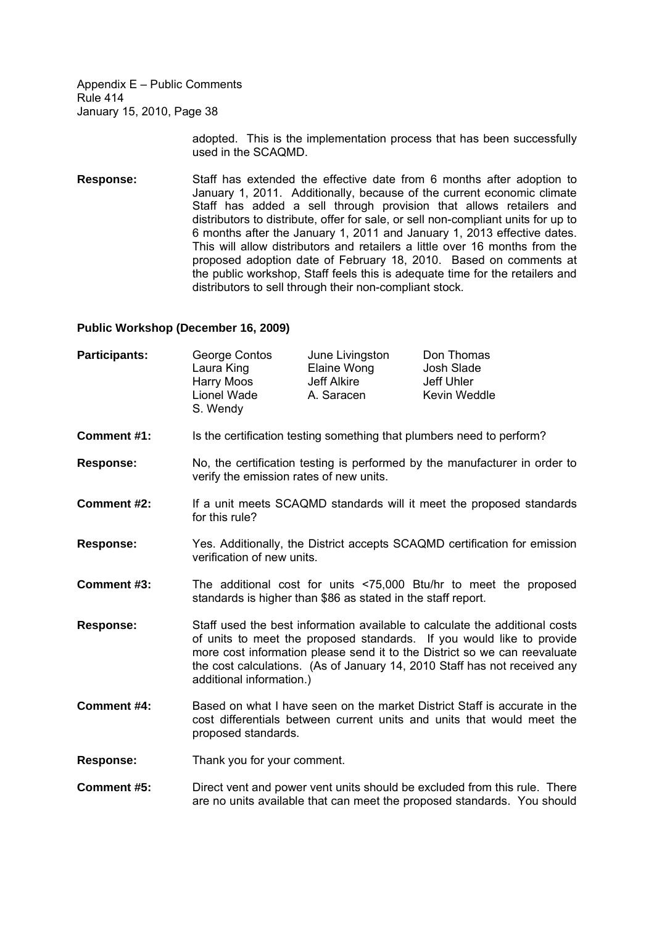> adopted. This is the implementation process that has been successfully used in the SCAQMD.

**Response:** Staff has extended the effective date from 6 months after adoption to January 1, 2011. Additionally, because of the current economic climate Staff has added a sell through provision that allows retailers and distributors to distribute, offer for sale, or sell non-compliant units for up to 6 months after the January 1, 2011 and January 1, 2013 effective dates. This will allow distributors and retailers a little over 16 months from the proposed adoption date of February 18, 2010. Based on comments at the public workshop, Staff feels this is adequate time for the retailers and distributors to sell through their non-compliant stock.

### **Public Workshop (December 16, 2009)**

| <b>Participants:</b> | George Contos | June Livingston | Don Thomas   |
|----------------------|---------------|-----------------|--------------|
|                      | Laura King    | Elaine Wong     | Josh Slade   |
|                      | Harry Moos    | Jeff Alkire     | Jeff Uhler   |
|                      | Lionel Wade   | A. Saracen      | Kevin Weddle |
|                      | S. Wendy      |                 |              |

- **Comment #1:** Is the certification testing something that plumbers need to perform?
- **Response:** No, the certification testing is performed by the manufacturer in order to verify the emission rates of new units.
- **Comment #2:** If a unit meets SCAQMD standards will it meet the proposed standards for this rule?
- **Response:** Yes. Additionally, the District accepts SCAQMD certification for emission verification of new units.
- **Comment #3:** The additional cost for units <75,000 Btu/hr to meet the proposed standards is higher than \$86 as stated in the staff report.
- **Response:** Staff used the best information available to calculate the additional costs of units to meet the proposed standards. If you would like to provide more cost information please send it to the District so we can reevaluate the cost calculations. (As of January 14, 2010 Staff has not received any additional information.)
- **Comment #4:** Based on what I have seen on the market District Staff is accurate in the cost differentials between current units and units that would meet the proposed standards.
- **Response:** Thank you for your comment.
- **Comment #5:** Direct vent and power vent units should be excluded from this rule. There are no units available that can meet the proposed standards. You should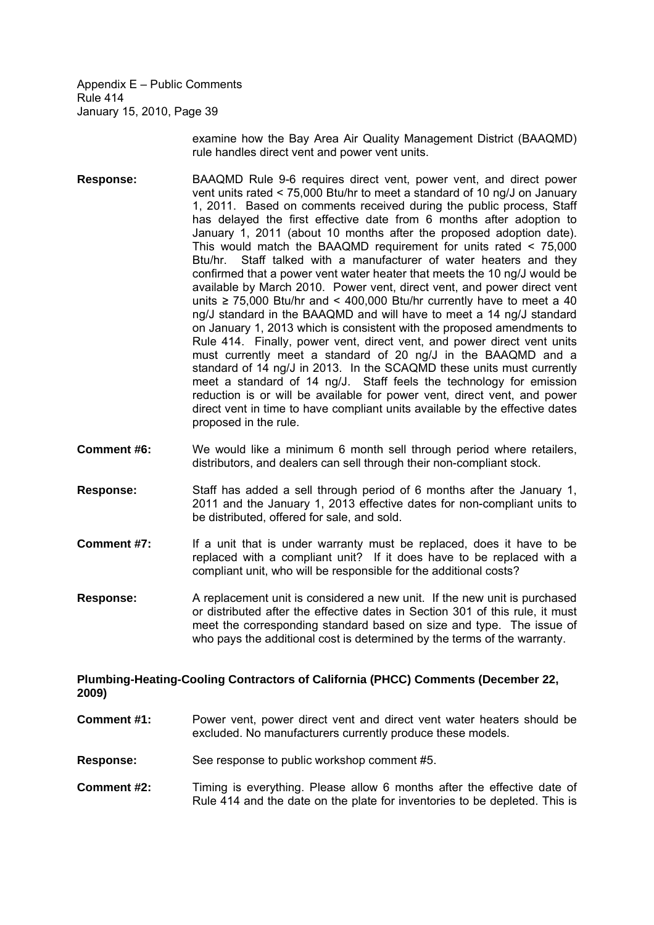> examine how the Bay Area Air Quality Management District (BAAQMD) rule handles direct vent and power vent units.

- **Response:** BAAQMD Rule 9-6 requires direct vent, power vent, and direct power vent units rated < 75,000 Btu/hr to meet a standard of 10 ng/J on January 1, 2011. Based on comments received during the public process, Staff has delayed the first effective date from 6 months after adoption to January 1, 2011 (about 10 months after the proposed adoption date). This would match the BAAQMD requirement for units rated < 75,000 Btu/hr. Staff talked with a manufacturer of water heaters and they confirmed that a power vent water heater that meets the 10 ng/J would be available by March 2010. Power vent, direct vent, and power direct vent units  $\geq$  75,000 Btu/hr and < 400,000 Btu/hr currently have to meet a 40 ng/J standard in the BAAQMD and will have to meet a 14 ng/J standard on January 1, 2013 which is consistent with the proposed amendments to Rule 414. Finally, power vent, direct vent, and power direct vent units must currently meet a standard of 20 ng/J in the BAAQMD and a standard of 14 ng/J in 2013. In the SCAQMD these units must currently meet a standard of 14 ng/J. Staff feels the technology for emission reduction is or will be available for power vent, direct vent, and power direct vent in time to have compliant units available by the effective dates proposed in the rule.
- **Comment #6:** We would like a minimum 6 month sell through period where retailers, distributors, and dealers can sell through their non-compliant stock.
- **Response:** Staff has added a sell through period of 6 months after the January 1, 2011 and the January 1, 2013 effective dates for non-compliant units to be distributed, offered for sale, and sold.
- **Comment #7:** If a unit that is under warranty must be replaced, does it have to be replaced with a compliant unit? If it does have to be replaced with a compliant unit, who will be responsible for the additional costs?
- **Response:** A replacement unit is considered a new unit. If the new unit is purchased or distributed after the effective dates in Section 301 of this rule, it must meet the corresponding standard based on size and type. The issue of who pays the additional cost is determined by the terms of the warranty.

#### **Plumbing-Heating-Cooling Contractors of California (PHCC) Comments (December 22, 2009)**

- **Comment #1:** Power vent, power direct vent and direct vent water heaters should be excluded. No manufacturers currently produce these models.
- **Response:** See response to public workshop comment #5.
- **Comment #2:** Timing is everything. Please allow 6 months after the effective date of Rule 414 and the date on the plate for inventories to be depleted. This is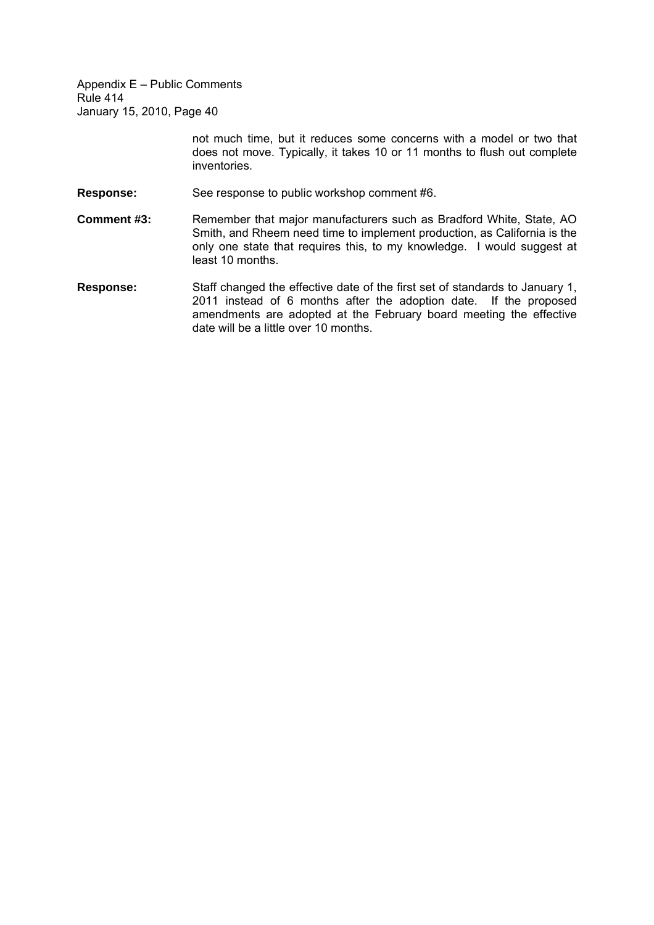> not much time, but it reduces some concerns with a model or two that does not move. Typically, it takes 10 or 11 months to flush out complete inventories.

- **Response:** See response to public workshop comment #6.
- **Comment #3:** Remember that major manufacturers such as Bradford White, State, AO Smith, and Rheem need time to implement production, as California is the only one state that requires this, to my knowledge. I would suggest at least 10 months.
- **Response:** Staff changed the effective date of the first set of standards to January 1, 2011 instead of 6 months after the adoption date. If the proposed amendments are adopted at the February board meeting the effective date will be a little over 10 months.